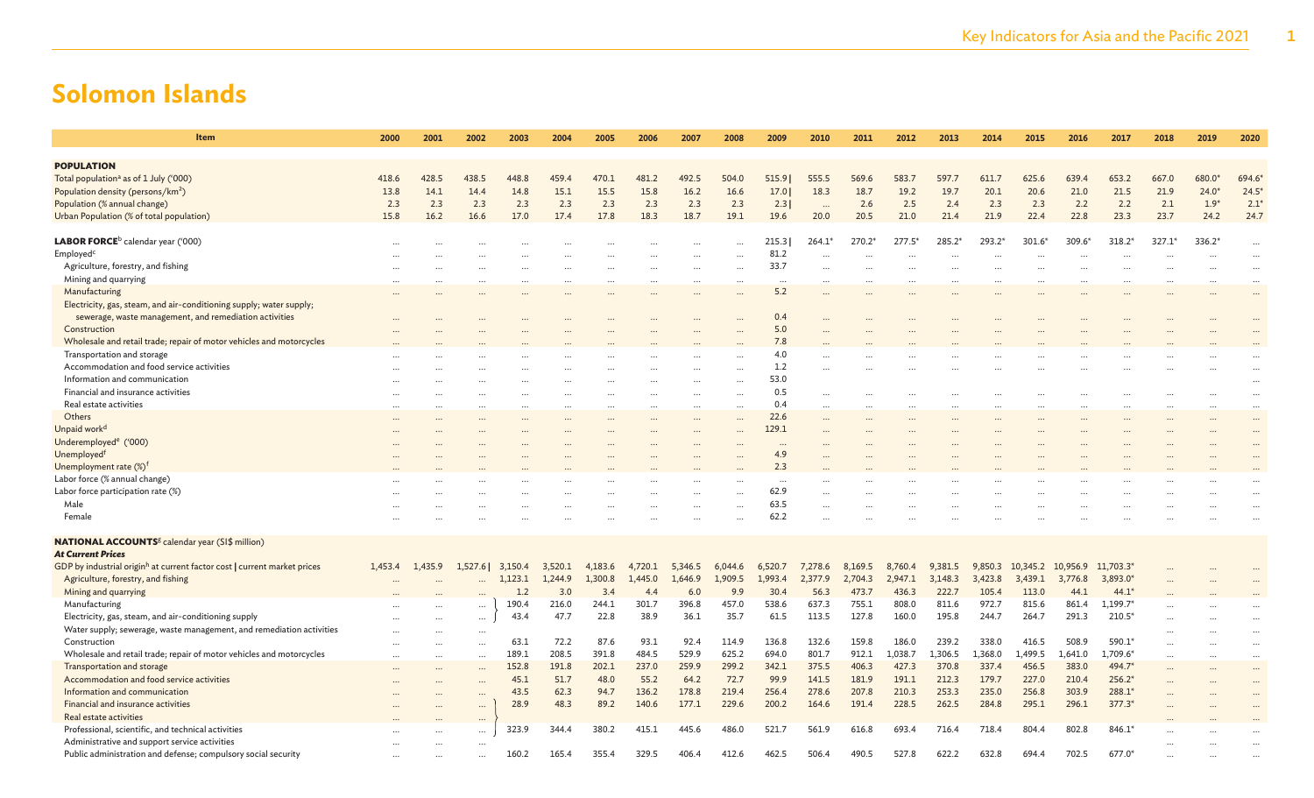| Item                                                                                 | 2000     | 2001      | 2002     | 2003    | 2004    | 2005    | 2006     | 2007    | 2008     | 2009     | 2010      | 2011     | 2012     | 2013     | 2014      | 2015     | 2016     | 2017       | 2018     | 2019      | 2020      |
|--------------------------------------------------------------------------------------|----------|-----------|----------|---------|---------|---------|----------|---------|----------|----------|-----------|----------|----------|----------|-----------|----------|----------|------------|----------|-----------|-----------|
|                                                                                      |          |           |          |         |         |         |          |         |          |          |           |          |          |          |           |          |          |            |          |           |           |
| <b>POPULATION</b>                                                                    |          |           |          |         |         |         |          |         |          |          |           |          |          |          |           |          |          |            |          |           |           |
| Total population <sup>a</sup> as of 1 July ('000)                                    | 418.6    | 428.5     | 438.5    | 448.8   | 459.4   | 470.1   | 481.2    | 492.5   | 504.0    | 515.9    | 555.5     | 569.6    | 583.7    | 597.7    | 611.7     | 625.6    | 639.4    | 653.2      | 667.0    | 680.0     | 694.6     |
| Population density (persons/km <sup>2</sup> )                                        | 13.8     | 14.1      | 14.4     | 14.8    | 15.1    | 15.5    | 15.8     | 16.2    | 16.6     | 17.0     | 18.3      | 18.7     | 19.2     | 19.7     | 20.1      | 20.6     | 21.0     | 21.5       | 21.9     | $24.0*$   | 24.5      |
| Population (% annual change)                                                         | 2.3      | 2.3       | 2.3      | 2.3     | 2.3     | 2.3     | 2.3      | 2.3     | 2.3      | 2.3      | $\cdots$  | 2.6      | 2.5      | 2.4      | 2.3       | 2.3      | 2.2      | 2.2        | 2.1      | $1.9*$    | 2.1       |
| Urban Population (% of total population)                                             | 15.8     | 16.2      | 16.6     | 17.0    | 17.4    | 17.8    | 18.3     | 18.7    | 19.1     | 19.6     | 20.0      | 20.5     | 21.0     | 21.4     | 21.9      | 22.4     | 22.8     | 23.3       | 23.7     | 24.2      | 24.7      |
|                                                                                      |          |           |          |         |         |         |          |         |          |          |           |          |          |          |           |          |          |            |          |           |           |
| LABOR FORCE <sup>b</sup> calendar year ('000)                                        |          |           |          |         |         |         |          |         |          | 215.3    | 264.1'    | $270.2*$ | $277.5*$ | 285.2*   | 293.2*    | $301.6*$ | $309.6*$ | $318.2*$   | $327.1*$ | $336.2*$  | $\cdots$  |
| Employed <sup>c</sup>                                                                |          |           |          |         |         |         | $\cdots$ |         |          | 81.2     | $\cdots$  |          | $\cdots$ | $\cdots$ | $\ddotsc$ | $\cdots$ | $\cdots$ |            |          |           | $\cdots$  |
| Agriculture, forestry, and fishing                                                   |          |           |          |         |         |         |          |         |          | 33.7     |           |          |          |          |           |          |          |            |          |           | $\cdots$  |
| Mining and quarrying                                                                 |          |           |          |         |         |         |          |         |          | $\ddots$ | $\cdots$  |          |          |          |           |          |          |            |          |           | $\cdots$  |
| Manufacturing                                                                        |          |           |          |         |         |         |          |         |          | 5.2      |           |          |          |          |           |          |          |            |          |           | $\cdots$  |
| Electricity, gas, steam, and air-conditioning supply; water supply;                  |          |           |          |         |         |         |          |         |          |          |           |          |          |          |           |          |          |            |          |           |           |
| sewerage, waste management, and remediation activities                               |          |           |          |         |         |         |          |         |          | 0.4      |           |          |          |          |           |          |          |            |          |           |           |
| Construction                                                                         |          |           |          |         |         |         |          |         |          | 5.0      |           |          |          |          |           |          |          |            |          |           |           |
| Wholesale and retail trade; repair of motor vehicles and motorcycles                 |          |           |          |         |         |         |          |         |          | 7.8      |           |          |          |          |           |          |          |            |          |           |           |
| Transportation and storage                                                           |          |           |          |         |         |         |          |         |          | 4.0      |           |          |          |          |           |          |          |            |          |           |           |
| Accommodation and food service activities                                            |          |           |          |         |         |         |          |         |          | 1.2      |           |          |          |          |           |          |          |            |          |           |           |
| Information and communication                                                        |          |           |          |         |         |         |          |         |          | 53.0     |           |          |          |          |           |          |          |            |          |           |           |
| Financial and insurance activities                                                   |          |           |          |         |         |         |          |         |          | 0.5      |           |          |          |          |           |          |          |            |          |           | $\ddotsc$ |
| Real estate activities                                                               |          |           |          |         |         |         |          |         |          | 0.4      | $\ddotsc$ |          |          |          |           |          |          |            |          |           | $\ddotsc$ |
| Others                                                                               |          |           |          |         |         |         |          |         | $\cdots$ | 22.6     |           |          |          |          |           |          |          |            |          |           | $\ddotsc$ |
|                                                                                      |          |           |          |         |         |         |          |         |          | 129.1    |           |          |          |          |           |          |          |            |          |           | $\cdots$  |
| Unpaid work <sup>d</sup>                                                             |          |           |          |         |         |         |          |         |          |          |           |          |          |          |           |          |          |            |          |           |           |
| Underemployed <sup>e</sup> ('000)                                                    |          |           |          |         |         |         |          |         |          | $\cdots$ |           |          |          |          |           |          |          |            |          |           |           |
| Unemployed <sup>f</sup>                                                              |          |           |          |         |         |         |          |         |          | 4.9      |           |          |          |          |           |          |          |            |          |           |           |
| Unemployment rate (%) <sup>f</sup>                                                   |          |           |          |         |         |         |          |         |          | 2.3      |           |          |          |          |           |          |          |            |          |           |           |
| Labor force (% annual change)                                                        |          |           |          |         |         |         |          |         |          | $\cdots$ |           |          |          |          |           |          |          |            |          |           |           |
| Labor force participation rate (%)                                                   |          |           |          |         |         |         |          |         |          | 62.9     |           |          |          |          |           |          |          |            |          |           |           |
| Male                                                                                 |          |           |          |         |         |         |          |         |          | 63.5     |           |          |          |          |           |          |          |            |          |           |           |
| Female                                                                               |          |           |          |         |         |         |          |         |          | 62.2     |           |          |          |          |           |          |          |            |          |           |           |
|                                                                                      |          |           |          |         |         |         |          |         |          |          |           |          |          |          |           |          |          |            |          |           |           |
| <b>NATIONAL ACCOUNTS</b> <sup>g</sup> calendar year (SI\$ million)                   |          |           |          |         |         |         |          |         |          |          |           |          |          |          |           |          |          |            |          |           |           |
| <b>At Current Prices</b>                                                             |          |           |          |         |         |         |          |         |          |          |           |          |          |          |           |          |          |            |          |           |           |
| GDP by industrial origin <sup>h</sup> at current factor cost   current market prices | 1.453.4  | 1.435.9   | 1.527.61 | 3.150.4 | 3,520.1 | 4,183.6 | 4,720.1  | 5,346.5 | 6,044.6  | 6,520.7  | 7,278.6   | 8,169.5  | 8,760.4  | 9,381.5  | 9,850.3   | 10,345.2 | 10,956.9 | 11,703.3*  |          |           |           |
| Agriculture, forestry, and fishing                                                   |          |           |          | 1.123.1 | 1,244.9 | 1,300.8 | 1,445.0  | 1,646.9 | 1,909.5  | 1,993.4  | 2,377.9   | 2,704.3  | 2,947.1  | 3,148.3  | 3,423.8   | 3,439.1  | 3,776.8  | 3,893.0*   |          |           |           |
| Mining and quarrying                                                                 |          |           |          | 1.2     | 3.0     | 3.4     | 4.4      | 6.0     | 9.9      | 30.4     | 56.3      | 473.7    | 436.3    | 222.7    | 105.4     | 113.0    | 44.1     | $44.1*$    |          |           |           |
| Manufacturing                                                                        |          |           | $\cdots$ | 190.4   | 216.0   | 244.1   | 301.7    | 396.8   | 457.0    | 538.6    | 637.3     | 755.1    | 808.0    | 811.6    | 972.7     | 815.6    | 861.4    | $1,199.7*$ |          |           |           |
| Electricity, gas, steam, and air-conditioning supply                                 |          |           | $\cdots$ | 43.4    | 47.7    | 22.8    | 38.9     | 36.1    | 35.7     | 61.5     | 113.5     | 127.8    | 160.0    | 195.8    | 244.7     | 264.7    | 291.3    | $210.5*$   |          |           |           |
| Water supply; sewerage, waste management, and remediation activities                 |          |           |          |         |         |         |          |         |          |          |           |          |          |          |           |          |          |            |          |           |           |
| Construction                                                                         |          |           | $\cdots$ | 63.1    | 72.2    | 87.6    | 93.1     | 92.4    | 114.9    | 136.8    | 132.6     | 159.8    | 186.0    | 239.2    | 338.0     | 416.5    | 508.9    | 590.1*     |          |           |           |
| Wholesale and retail trade; repair of motor vehicles and motorcycles                 | $\cdots$ | $\ddotsc$ | $\cdots$ | 189.1   | 208.5   | 391.8   | 484.5    | 529.9   | 625.2    | 694.0    | 801.7     | 912.1    | 1,038.7  | 1,306.5  | 1,368.0   | 1,499.5  | 1,641.0  | 1,709.6*   |          | $\ddotsc$ | $\ddotsc$ |
| Transportation and storage                                                           |          |           | $\cdots$ | 152.8   | 191.8   | 202.1   | 237.0    | 259.9   | 299.2    | 342.1    | 375.5     | 406.3    | 427.3    | 370.8    | 337.4     | 456.5    | 383.0    | 494.7*     |          |           |           |
| Accommodation and food service activities                                            |          |           |          | 45.1    | 51.7    | 48.0    | 55.2     | 64.2    | 72.7     | 99.9     | 141.5     | 181.9    | 191.1    | 212.3    | 179.7     | 227.0    | 210.4    | $256.2*$   |          |           |           |
| Information and communication                                                        |          |           |          | 43.5    | 62.3    | 94.7    | 136.2    | 178.8   | 219.4    | 256.4    | 278.6     | 207.8    | 210.3    | 253.3    | 235.0     | 256.8    | 303.9    | 288.1*     |          |           |           |
| Financial and insurance activities                                                   |          |           | $\cdots$ | 28.9    | 48.3    | 89.2    | 140.6    | 177.1   | 229.6    | 200.2    | 164.6     | 191.4    | 228.5    | 262.5    | 284.8     | 295.1    | 296.1    | $377.3*$   |          |           |           |
| Real estate activities                                                               |          |           | $\cdots$ |         |         |         |          |         |          |          |           |          |          |          |           |          |          |            |          |           |           |
| Professional, scientific, and technical activities                                   |          |           | $\cdots$ | 323.9   | 344.4   | 380.2   | 415.1    | 445.6   | 486.0    | 521.7    | 561.9     | 616.8    | 693.4    | 716.4    | 718.4     | 804.4    | 802.8    | 846.1*     |          |           |           |
| Administrative and support service activities                                        |          |           | $\cdots$ |         |         |         |          |         |          |          |           |          |          |          |           |          |          |            |          |           |           |
| Public administration and defense; compulsory social security                        |          |           |          | 160.2   | 165.4   | 355.4   | 329.5    | 406.4   | 412.6    | 462.5    | 506.4     | 490.5    | 527.8    | 622.2    | 632.8     | 694.4    | 702.5    | 677.0*     |          |           |           |
|                                                                                      |          |           |          |         |         |         |          |         |          |          |           |          |          |          |           |          |          |            |          |           |           |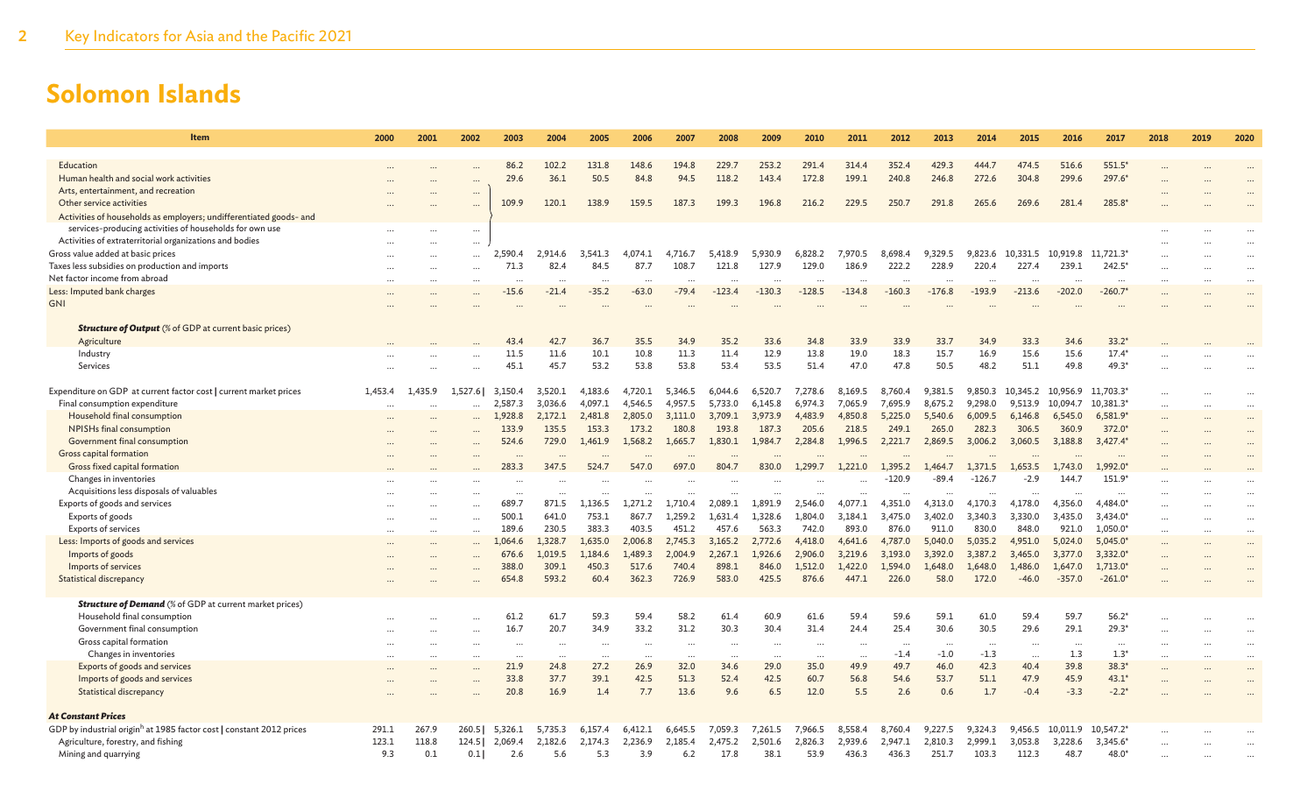| <b>Item</b>                                                                      | 2000     | 2001    | 2002      | 2003      | 2004      | 2005      | 2006     | 2007     | 2008     | 2009                 | 2010     | 2011     | 2012     | 2013     | 2014     | 2015      | 2016     | 2017       | 2018 | 2019                 | 2020                 |
|----------------------------------------------------------------------------------|----------|---------|-----------|-----------|-----------|-----------|----------|----------|----------|----------------------|----------|----------|----------|----------|----------|-----------|----------|------------|------|----------------------|----------------------|
|                                                                                  |          |         |           |           |           |           |          |          |          |                      |          |          |          |          |          |           |          |            |      |                      |                      |
| Education                                                                        |          |         |           | 86.2      | 102.2     | 131.8     | 148.6    | 194.8    | 229.7    | 253.2                | 291.4    | 314.4    | 352.4    | 429.3    | 444.7    | 474.5     | 516.6    | 551.5*     |      |                      |                      |
| Human health and social work activities                                          |          |         |           | 29.6      | 36.1      | 50.5      | 84.8     | 94.5     | 118.2    | 143.4                | 172.8    | 199.1    | 240.8    | 246.8    | 272.6    | 304.8     | 299.6    | 297.6*     |      |                      |                      |
| Arts, entertainment, and recreation                                              |          |         | $\cdots$  |           |           |           |          |          |          |                      |          |          |          |          |          |           |          |            |      |                      |                      |
| Other service activities                                                         |          |         | $\cdots$  | 109.9     | 120.1     | 138.9     | 159.5    | 187.3    | 199.3    | 196.8                | 216.2    | 229.5    | 250.7    | 291.8    | 265.6    | 269.6     | 281.4    | 285.8*     |      |                      |                      |
| Activities of households as employers; undifferentiated goods- and               |          |         |           |           |           |           |          |          |          |                      |          |          |          |          |          |           |          |            |      |                      |                      |
| services-producing activities of households for own use                          |          |         | $\cdots$  |           |           |           |          |          |          |                      |          |          |          |          |          |           |          |            |      |                      |                      |
| Activities of extraterritorial organizations and bodies                          |          |         | $\cdots$  |           |           |           |          |          |          |                      |          |          |          |          |          |           |          |            |      |                      |                      |
| Gross value added at basic prices                                                |          |         |           | 2,590.4   | 2,914.6   | 3,541.3   | 4,074.1  | 4,716.7  | 5,418.9  | 5,930.9              | 6,828.2  | 7,970.5  | 8,698.4  | 9,329.5  | 9,823.6  | 10,331.5  | 10,919.8 | 11,721.3*  |      |                      |                      |
| Taxes less subsidies on production and imports                                   |          |         |           | 71.3      | 82.4      | 84.5      | 87.7     | 108.7    | 121.8    | 127.9                | 129.0    | 186.9    | 222.2    | 228.9    | 220.4    | 227.4     | 239.1    | 242.5*     |      |                      | $\ddot{\phantom{a}}$ |
| Net factor income from abroad                                                    |          |         |           |           |           |           |          |          |          |                      |          |          |          |          |          |           |          | $\ddotsc$  |      | $\ddotsc$            | $\ddotsc$            |
| Less: Imputed bank charges                                                       |          |         |           | $-15.6$   | $-21.4$   | $-35.2$   | $-63.0$  | $-79.4$  | $-123.4$ | $-130.3$             | $-128.5$ | $-134.8$ | $-160.3$ | $-176.8$ | $-193.9$ | $-213.6$  | $-202.0$ | $-260.7*$  |      |                      |                      |
| <b>GNI</b>                                                                       |          |         |           |           |           |           |          |          |          |                      |          |          |          |          |          |           |          |            |      |                      |                      |
|                                                                                  |          |         |           |           |           |           |          |          |          |                      |          |          |          |          |          |           |          |            |      |                      |                      |
| <b>Structure of Output</b> (% of GDP at current basic prices)                    |          |         |           |           |           |           |          |          |          |                      |          |          |          |          |          |           |          |            |      |                      |                      |
| Agriculture                                                                      |          |         |           | 43.4      | 42.7      | 36.7      | 35.5     | 34.9     | 35.2     | 33.6                 | 34.8     | 33.9     | 33.9     | 33.7     | 34.9     | 33.3      | 34.6     | $33.2*$    |      |                      |                      |
| Industry                                                                         |          |         |           | 11.5      | 11.6      | 10.1      | 10.8     | 11.3     | 11.4     | 12.9                 | 13.8     | 19.0     | 18.3     | 15.7     | 16.9     | 15.6      | 15.6     | $17.4*$    |      |                      |                      |
| Services                                                                         |          |         |           | 45.1      | 45.7      | 53.2      | 53.8     | 53.8     | 53.4     | 53.5                 | 51.4     | 47.0     | 47.8     | 50.5     | 48.2     | 51.1      | 49.8     | $49.3*$    |      |                      |                      |
|                                                                                  |          |         |           |           |           |           |          |          |          |                      |          |          |          |          |          |           |          |            |      |                      |                      |
| Expenditure on GDP at current factor cost   current market prices                | 1,453.4  | 1,435.9 | 1,527.6   | 3,150.4   | 3,520.1   | 4,183.6   | 4,720.1  | 5,346.5  | 6,044.6  | 6,520.7              | 7,278.6  | 8,169.5  | 8,760.4  | 9,381.5  | 9,850.3  | 10,345.2  | 10,956.9 | 11,703.3*  |      |                      | $\ddotsc$            |
| Final consumption expenditure                                                    | $\cdots$ |         |           | 2,587.3   | 3,036.6   | 4,097.1   | 4,546.5  | 4,957.5  | 5,733.0  | 6,145.8              | 6,974.3  | 7,065.9  | 7,695.9  | 8,675.2  | 9,298.0  | 9,513.9   | 10,094.7 | 10,381.3*  |      | $\cdots$             | $\ddotsc$            |
| Household final consumption                                                      |          |         |           | 1,928.8   | 2,172.1   | 2,481.8   | 2,805.0  | 3,111.0  | 3,709.1  | 3,973.9              | 4,483.9  | 4,850.8  | 5,225.0  | 5,540.6  | 6,009.5  | 6,146.8   | 6,545.0  | $6,581.9*$ |      |                      | $\ddots$             |
| NPISHs final consumption                                                         |          |         |           | 133.9     | 135.5     | 153.3     | 173.2    | 180.8    | 193.8    | 187.3                | 205.6    | 218.5    | 249.1    | 265.0    | 282.3    | 306.5     | 360.9    | 372.0*     |      |                      |                      |
| Government final consumption                                                     |          |         |           | 524.6     | 729.0     | 1,461.9   | 1,568.2  | 1,665.7  | 1,830.1  | 1,984.7              | 2,284.8  | 1,996.5  | 2,221.7  | 2,869.5  | 3,006.2  | 3,060.5   | 3,188.8  | $3,427.4*$ |      |                      |                      |
| Gross capital formation                                                          |          |         |           |           |           |           |          |          |          |                      |          |          |          |          |          |           |          |            |      |                      |                      |
| Gross fixed capital formation                                                    |          |         |           | 283.3     | 347.5     | 524.7     | 547.0    | 697.0    | 804.7    | 830.0                | 1,299.7  | 1,221.0  | 1,395.2  | 1.464.7  | 1,371.5  | 1,653.5   | 1,743.0  | 1,992.0*   |      |                      |                      |
| Changes in inventories                                                           |          |         |           |           |           |           |          |          |          |                      |          |          | $-120.9$ | $-89.4$  | $-126.7$ | -2.9      | 144.7    | 151.9*     |      |                      |                      |
| Acquisitions less disposals of valuables                                         |          |         |           |           |           |           |          |          |          |                      |          |          |          |          |          |           |          |            |      |                      |                      |
| Exports of goods and services                                                    |          |         |           | 689.7     | 871.5     | 1,136.5   | 1,271.2  | 1,710.4  | 2,089.1  | 1,891.9              | 2,546.0  | 4,077.1  | 4,351.0  | 4,313.0  | 4,170.3  | 4,178.0   | 4,356.0  | 4,484.0*   |      |                      |                      |
| Exports of goods                                                                 |          |         |           | 500.1     | 641.0     | 753.1     | 867.7    | 1,259.2  | 1,631.4  | .328.6               | 1,804.0  | 3,184.1  | 3,475.0  | 3,402.0  | 3,340.3  | 3,330.0   | 3,435.0  | 3,434.0*   |      |                      |                      |
|                                                                                  |          |         | $\ddotsc$ | 189.6     | 230.5     | 383.3     | 403.5    | 451.2    | 457.6    | 563.3                | 742.0    | 893.0    | 876.0    | 911.0    | 830.0    | 848.0     | 921.0    | 1,050.0*   |      | $\ddotsc$            | $\ddotsc$            |
| <b>Exports of services</b>                                                       |          |         |           |           | 1,328.7   |           |          |          |          |                      |          |          |          |          |          |           |          |            |      |                      | $\ddotsc$            |
| Less: Imports of goods and services                                              |          |         |           | 1,064.6   |           | 1,635.0   | 2,006.8  | 2,745.3  | 3,165.2  | 2,772.6              | 4,418.0  | 4,641.6  | 4,787.0  | 5,040.0  | 5,035.2  | 4,951.0   | 5,024.0  | $5,045.0*$ |      | $\ddot{\phantom{a}}$ | $\ddots$             |
| Imports of goods                                                                 |          |         |           | 676.6     | 1,019.5   | 1,184.6   | 1,489.3  | 2,004.9  | 2,267.1  | 1,926.6              | 2,906.0  | 3,219.6  | 3,193.0  | 3,392.0  | 3,387.2  | 3,465.0   | 3,377.0  | 3,332.0*   |      |                      | $\ddots$             |
| Imports of services                                                              |          |         |           | 388.0     | 309.1     | 450.3     | 517.6    | 740.4    | 898.1    | 846.0                | 1,512.0  | 1,422.0  | 1,594.0  | 1,648.0  | 1,648.0  | 1,486.0   | 1,647.0  | 1,713.0*   |      |                      |                      |
| <b>Statistical discrepancy</b>                                                   |          |         |           | 654.8     | 593.2     | 60.4      | 362.3    | 726.9    | 583.0    | 425.5                | 876.6    | 447.1    | 226.0    | 58.0     | 172.0    | $-46.0$   | $-357.0$ | $-261.0*$  |      |                      |                      |
|                                                                                  |          |         |           |           |           |           |          |          |          |                      |          |          |          |          |          |           |          |            |      |                      |                      |
| <b>Structure of Demand</b> (% of GDP at current market prices)                   |          |         |           |           |           |           |          |          |          |                      |          |          |          |          |          |           |          |            |      |                      |                      |
| Household final consumption                                                      |          |         |           | 61.2      | 61.7      | 59.3      | 59.4     | 58.2     | 61.4     | 60.9                 | 61.6     | 59.4     | 59.6     | 59.1     | 61.0     | 59.4      | 59.7     | $56.2*$    |      |                      |                      |
| Government final consumption                                                     |          |         |           | 16.7      | 20.7      | 34.9      | 33.2     | 31.2     | 30.3     | 30.4                 | 31.4     | 24.4     | 25.4     | 30.6     | 30.5     | 29.6      | 29.1     | $29.3*$    |      |                      | $\ddots$             |
| Gross capital formation                                                          |          |         |           | $\ddotsc$ | $\ddotsc$ | $\ddotsc$ | $\cdots$ | $\ddots$ | $\cdots$ | $\ddot{\phantom{a}}$ | $\ddots$ |          | $\ddots$ | $\cdots$ | $\cdots$ | $\ddotsc$ | $\cdots$ | $\cdots$   |      |                      | $\ddotsc$            |
| Changes in inventories                                                           |          |         |           | $\cdots$  | $\sim$    | $\cdots$  | $\cdots$ | $\cdot$  | $\cdots$ | $\cdots$             | $\cdots$ | $\cdots$ | $-1.4$   | $-1.0$   | $-1.3$   | $\cdots$  | 1.3      | $1.3*$     | .    | $\cdots$             | $\ddotsc$            |
| Exports of goods and services                                                    |          |         |           | 21.9      | 24.8      | 27.2      | 26.9     | 32.0     | 34.6     | 29.0                 | 35.0     | 49.9     | 49.7     | 46.0     | 42.3     | 40.4      | 39.8     | $38.3*$    |      |                      | $\ddotsc$            |
| Imports of goods and services                                                    |          |         |           | 33.8      | 37.7      | 39.1      | 42.5     | 51.3     | 52.4     | 42.5                 | 60.7     | 56.8     | 54.6     | 53.7     | 51.1     | 47.9      | 45.9     | $43.1*$    |      |                      |                      |
| <b>Statistical discrepancy</b>                                                   |          |         |           | 20.8      | 16.9      | 1.4       | 7.7      | 13.6     | 9.6      | 6.5                  | 12.0     | 5.5      | 2.6      | 0.6      | 1.7      | $-0.4$    | $-3.3$   | $-2.2*$    |      |                      |                      |
|                                                                                  |          |         |           |           |           |           |          |          |          |                      |          |          |          |          |          |           |          |            |      |                      |                      |
| <b>At Constant Prices</b>                                                        |          |         |           |           |           |           |          |          |          |                      |          |          |          |          |          |           |          |            |      |                      |                      |
| GDP by industrial origin <sup>h</sup> at 1985 factor cost   constant 2012 prices | 291.1    | 267.9   | 260.5     | 5,326.1   | 5,735.3   | 6,157.4   | 6,412.1  | 6.645.5  | 7,059.3  | 7,261.5              | 7,966.5  | 8,558.4  | 8,760.4  | 9,227.5  | 9,324.3  | 9,456.5   | 10,011.9 | 10,547.2*  |      |                      |                      |
| Agriculture, forestry, and fishing                                               | 123.1    | 118.8   | 124.51    | 2.069.4   | 2.182.6   | 2.174.3   | 2.236.9  | 2.185.4  | 2.475.2  | 2,501.6              | 2,826.3  | 2,939.6  | 2.947.1  | 2,810.3  | 2,999.1  | 3,053.8   | 3,228.6  | 3.345.6*   |      |                      |                      |
| Mining and quarrying                                                             | 9.3      | 0.1     | 0.1       | 2.6       | 5.6       | 5.3       | 3.9      | 6.2      | 17.8     | 38.1                 | 53.9     | 436.3    | 436.3    | 251.7    | 103.3    | 112.3     | 48.7     | $48.0*$    |      |                      |                      |
|                                                                                  |          |         |           |           |           |           |          |          |          |                      |          |          |          |          |          |           |          |            |      |                      |                      |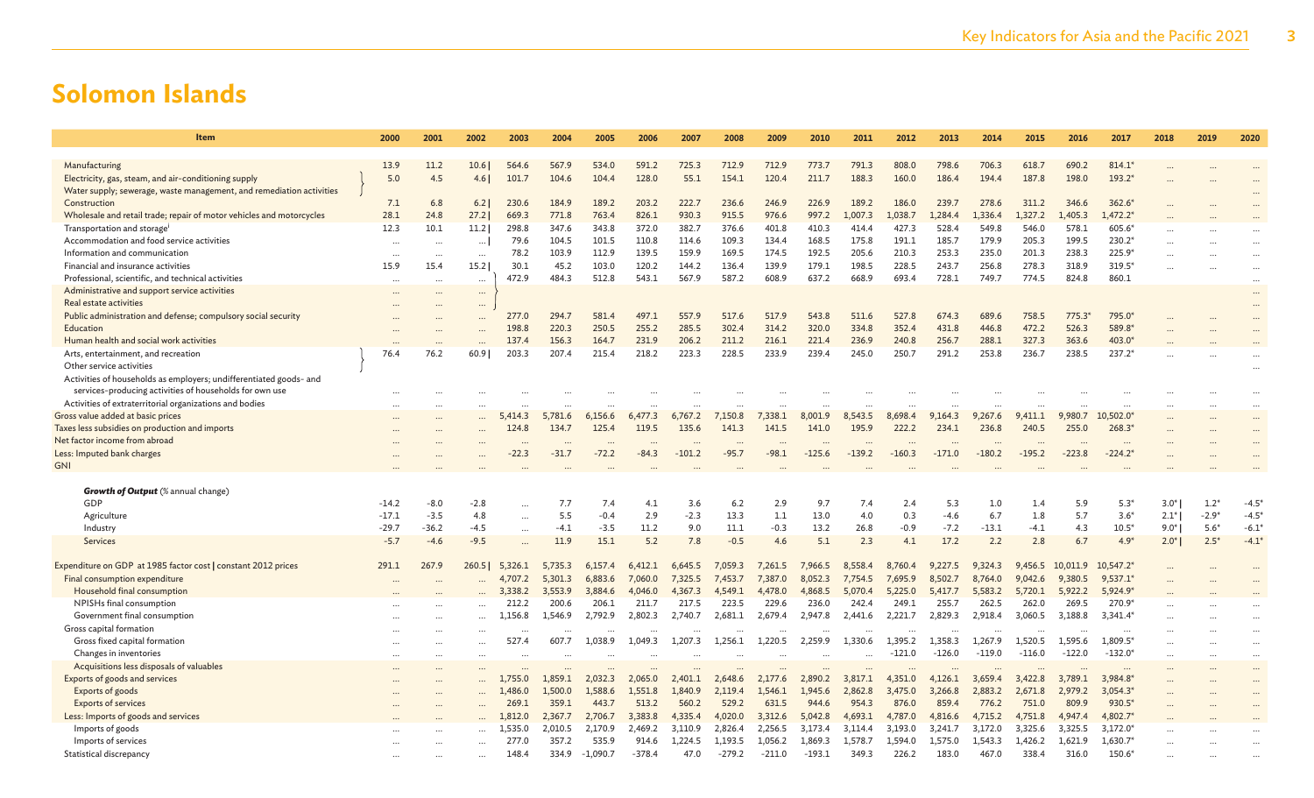| Item                                                                 | 2000     | 2001     | 2002     | 2003      | 2004    | 2005       | 2006     | 2007     | 2008     | 2009     | 2010     | 2011     | 2012     | 2013     | 2014     | 2015     | 2016     | 2017        | 2018   | 2019     | 2020     |
|----------------------------------------------------------------------|----------|----------|----------|-----------|---------|------------|----------|----------|----------|----------|----------|----------|----------|----------|----------|----------|----------|-------------|--------|----------|----------|
|                                                                      |          |          |          |           |         |            |          |          |          |          |          |          |          |          |          |          |          |             |        |          |          |
| Manufacturing                                                        | 13.9     | 11.2     | 10.6     | 564.6     | 567.9   | 534.0      | 591.2    | 725.3    | 712.9    | 712.9    | 773.7    | 791.3    | 808.0    | 798.6    | 706.3    | 618.7    | 690.2    | $814.1*$    |        |          |          |
| Electricity, gas, steam, and air-conditioning supply                 | 5.0      | 4.5      | 4.61     | 101.7     | 104.6   | 104.4      | 128.0    | 55.1     | 154.1    | 120.4    | 211.7    | 188.3    | 160.0    | 186.4    | 194.4    | 187.8    | 198.0    | 193.2*      |        |          |          |
| Water supply; sewerage, waste management, and remediation activities |          |          |          |           |         |            |          |          |          |          |          |          |          |          |          |          |          |             |        |          |          |
| Construction                                                         | 7.1      | 6.8      | 6.2      | 230.6     | 184.9   | 189.2      | 203.2    | 222.7    | 236.6    | 246.9    | 226.9    | 189.2    | 186.0    | 239.7    | 278.6    | 311.2    | 346.6    | 362.6*      |        |          |          |
| Wholesale and retail trade; repair of motor vehicles and motorcycles | 28.1     | 24.8     | 27.2     | 669.3     | 771.8   | 763.4      | 826.1    | 930.3    | 915.5    | 976.6    | 997.2    | 1,007.3  | .,038.7  | 1,284.4  | 1,336.4  | ,327.2   | ,405.3   | $1,472.2*$  |        |          |          |
| Transportation and storage <sup>i</sup>                              | 12.3     | 10.1     | 11.2     | 298.8     | 347.6   | 343.8      | 372.0    | 382.7    | 376.6    | 401.8    | 410.3    | 414.4    | 427.3    | 528.4    | 549.8    | 546.0    | 578.1    | 605.6*      |        |          |          |
| Accommodation and food service activities                            | $\ddots$ | $\cdots$ | $\ldots$ | 79.6      | 104.5   | 101.5      | 110.8    | 114.6    | 109.3    | 134.4    | 168.5    | 175.8    | 191.1    | 185.7    | 179.9    | 205.3    | 199.5    | 230.2*      |        |          |          |
| Information and communication                                        | $\ddots$ | $\cdots$ | $\cdots$ | 78.2      | 103.9   | 112.9      | 139.5    | 159.9    | 169.5    | 174.5    | 192.5    | 205.6    | 210.3    | 253.3    | 235.0    | 201.3    | 238.3    | 225.9*      |        |          |          |
| Financial and insurance activities                                   | 15.9     | 15.4     | 15.2     | 30.1      | 45.2    | 103.0      | 120.2    | 144.2    | 136.4    | 139.9    | 179.1    | 198.5    | 228.5    | 243.7    | 256.8    | 278.3    | 318.9    | 319.5*      |        |          |          |
| Professional, scientific, and technical activities                   | $\cdots$ | $\cdots$ | $\cdots$ | 472.9     | 484.3   | 512.8      | 543.1    | 567.9    | 587.2    | 608.9    | 637.2    | 668.9    | 693.4    | 728.1    | 749.7    | 774.5    | 824.8    | 860.1       |        |          | $\cdots$ |
| Administrative and support service activities                        | $\cdots$ |          | $\cdots$ |           |         |            |          |          |          |          |          |          |          |          |          |          |          |             |        |          | $\cdots$ |
| Real estate activities                                               | $\cdots$ |          | $\cdots$ |           |         |            |          |          |          |          |          |          |          |          |          |          |          |             |        |          | $\cdots$ |
| Public administration and defense; compulsory social security        |          |          | $\cdots$ | 277.0     | 294.7   | 581.4      | 497.1    | 557.9    | 517.6    | 517.9    | 543.8    | 511.6    | 527.8    | 674.3    | 689.6    | 758.5    | 775.3    | 795.0*      |        |          |          |
| Education                                                            |          |          |          | 198.8     | 220.3   | 250.5      | 255.2    | 285.5    | 302.4    | 314.2    | 320.0    | 334.8    | 352.4    | 431.8    | 446.8    | 472.2    | 526.3    | 589.8*      |        |          |          |
| Human health and social work activities                              | $\cdots$ |          |          | 137.4     | 156.3   | 164.7      | 231.9    | 206.2    | 211.2    | 216.1    | 221.4    | 236.9    | 240.8    | 256.7    | 288.1    | 327.3    | 363.6    | 403.0*      |        |          |          |
| Arts, entertainment, and recreation                                  | 76.4     | 76.2     | 60.9     | 203.3     | 207.4   | 215.4      | 218.2    | 223.3    | 228.5    | 233.9    | 239.4    | 245.0    | 250.7    | 291.2    | 253.8    | 236.7    | 238.5    | 237.2*      |        |          |          |
| Other service activities                                             |          |          |          |           |         |            |          |          |          |          |          |          |          |          |          |          |          |             |        |          |          |
| Activities of households as employers; undifferentiated goods- and   |          |          |          |           |         |            |          |          |          |          |          |          |          |          |          |          |          |             |        |          |          |
| services-producing activities of households for own use              |          |          |          |           |         |            |          |          |          |          |          |          |          |          |          |          |          |             |        |          |          |
| Activities of extraterritorial organizations and bodies              | $\ddots$ |          |          |           |         |            |          |          |          |          |          |          |          |          |          |          |          | $\cdots$    |        |          |          |
| Gross value added at basic prices                                    |          |          |          | 5,414.3   | 5,781.6 | 6,156.6    | 6,477.3  | 6,767.2  | 7,150.8  | 7,338.1  | 8,001.9  | 8,543.5  | 8,698.4  | 9,164.3  | 9,267.6  | 9,411.1  | 9,980.7  | 10,502.0    |        |          |          |
| Taxes less subsidies on production and imports                       |          |          |          | 124.8     | 134.7   | 125.4      | 119.5    | 135.6    | 141.3    | 141.5    | 141.0    | 195.9    | 222.2    | 234.1    | 236.8    | 240.5    | 255.0    | 268.3       |        |          |          |
| Net factor income from abroad                                        |          |          |          |           |         |            |          |          |          |          |          |          |          |          |          |          |          | $\cdots$    |        |          |          |
| Less: Imputed bank charges                                           |          |          |          | $-22.3$   | $-31.7$ | $-72.2$    | $-84.3$  | $-101.2$ | $-95.7$  | $-98.1$  | $-125.6$ | $-139.2$ | $-160.3$ | $-171.0$ | $-180.2$ | $-195.2$ | $-223.8$ | $-224.2*$   |        |          |          |
| <b>GNI</b>                                                           |          |          |          |           |         |            |          |          |          |          |          |          |          |          |          |          |          |             |        |          |          |
|                                                                      |          |          |          |           |         |            |          |          |          |          |          |          |          |          |          |          |          |             |        |          |          |
| <b>Growth of Output</b> (% annual change)                            |          |          |          |           |         |            |          |          |          |          |          |          |          |          |          |          |          |             |        |          |          |
| GDP                                                                  | $-14.2$  | $-8.0$   | $-2.8$   |           | 7.7     | 7.4        | 4.1      | 3.6      | 6.2      | 2.9      | 9.7      | 7.4      | 2.4      | 5.3      | 1.0      | 1.4      | 5.9      | $5.3*$      | $3.0*$ | $1.2*$   | $-4.5'$  |
| Agriculture                                                          | $-17.1$  | $-3.5$   | 4.8      | $\cdots$  | 5.5     | $-0.4$     | 2.9      | $-2.3$   | 13.3     | 1.1      | 13.0     | 4.0      | 0.3      | $-4.6$   | 6.7      | 1.8      | 5.7      | $3.6*$      | $2.1*$ | $-2.9*$  | $-4.5*$  |
| Industry                                                             | $-29.7$  | $-36.2$  | $-4.5$   | $\cdots$  | $-4.1$  | $-3.5$     | 11.2     | 9.0      | 11.1     | $-0.3$   | 13.2     | 26.8     | $-0.9$   | $-7.2$   | $-13.1$  | $-4.1$   | 4.3      | $10.5*$     | $9.0*$ | $5.6*$   | $-6.1*$  |
| Services                                                             | $-5.7$   | $-4.6$   | $-9.5$   | $\ddotsc$ | 11.9    | 15.1       | 5.2      | 7.8      | $-0.5$   | 4.6      | 5.1      | 2.3      | 4.1      | 17.2     | 2.2      | 2.8      | 6.7      | $4.9*$      | $2.0*$ | $2.5*$   | $-4.1*$  |
|                                                                      |          |          |          |           |         |            |          |          |          |          |          |          |          |          |          |          |          |             |        |          |          |
| Expenditure on GDP at 1985 factor cost   constant 2012 prices        | 291.1    | 267.9    | 260.5    | 5,326.1   | 5,735.3 | 6,157.4    | 6,412.1  | 6,645.5  | 7,059.3  | 7,261.5  | 7,966.5  | 8,558.4  | 8,760.4  | 9,227.5  | 9,324.3  | 9,456.5  | 10,011.9 | $10,547.2*$ |        |          |          |
| Final consumption expenditure                                        |          |          |          | 4,707.2   | 5,301.3 | 6,883.6    | 7,060.0  | 7,325.5  | 7,453.7  | 7,387.0  | 8,052.3  | 7,754.5  | 7,695.9  | 8,502.7  | 8,764.0  | 9,042.6  | 9,380.5  | $9,537.1*$  |        |          |          |
| Household final consumption                                          |          |          |          | 3,338.2   | 3,553.9 | 3,884.6    | 4,046.0  | 4.367.3  | 4,549.1  | 4,478.0  | 4,868.5  | 5,070.4  | 5,225.0  | 5,417.7  | 5,583.2  | 5,720.1  | 5.922.2  | 5,924.9*    |        |          |          |
| NPISHs final consumption                                             |          |          |          | 212.2     | 200.6   | 206.1      | 211.7    | 217.5    | 223.5    | 229.6    | 236.0    | 242.4    | 249.1    | 255.7    | 262.5    | 262.0    | 269.5    | 270.9*      |        |          |          |
| Government final consumption                                         |          |          |          | 1,156.8   | 1,546.9 | 2,792.9    | 2,802.3  | 2,740.7  | 2,681.1  | 2,679.4  | 2,947.8  | 2,441.6  | 2,221.7  | 2,829.3  | 2,918.4  | 3,060.5  | 3,188.8  | $3,341.4*$  |        |          |          |
| Gross capital formation                                              |          |          |          |           |         |            |          |          |          |          |          |          |          |          |          |          |          |             |        |          |          |
| Gross fixed capital formation                                        |          |          |          | 527.4     | 607.7   | 1.038.9    | 1,049.3  | 1,207.3  | 1,256.1  | 1,220.5  | 2,259.9  | 1,330.6  | 1,395.2  | 1,358.3  | 1,267.9  | 1,520.5  | 1,595.6  | 1,809.5*    |        |          |          |
| Changes in inventories                                               |          |          | $\cdots$ |           |         |            |          |          |          |          |          |          | $-121.0$ | $-126.0$ | $-119.0$ | $-116.0$ | $-122.0$ | $-132.0*$   |        | $\cdots$ |          |
| Acquisitions less disposals of valuables                             |          |          |          |           |         |            |          |          |          |          |          |          |          |          |          |          |          |             |        |          |          |
| Exports of goods and services                                        |          |          |          | 1,755.0   | 1,859.1 | 2,032.3    | 2,065.0  | 2,401.1  | 2,648.6  | 2,177.6  | 2,890.2  | 3,817.1  | 4,351.0  | 4,126.1  | 3,659.4  | 3,422.8  | 3,789.1  | 3,984.8*    |        |          |          |
| Exports of goods                                                     |          |          |          | 1,486.0   | 1,500.0 | 1,588.6    | 1,551.8  | 1,840.9  | 2,119.4  | 1,546.1  | 1.945.6  | 2,862.8  | 3,475.0  | 3,266.8  | 2,883.2  | 2,671.8  | 2,979.2  | $3.054.3*$  |        |          |          |
| <b>Exports of services</b>                                           |          |          |          | 269.1     | 359.1   | 443.7      | 513.2    | 560.2    | 529.2    | 631.5    | 944.6    | 954.3    | 876.0    | 859.4    | 776.2    | 751.0    | 809.9    | 930.5*      |        |          |          |
| Less: Imports of goods and services                                  |          |          |          | 1,812.0   | 2,367.7 | 2,706.7    | 3,383.8  | 4,335.4  | 4,020.0  | 3,312.6  | 5,042.8  | 4,693.1  | 4,787.0  | 4,816.6  | 4,715.2  | 4,751.8  | 4,947.4  | 4,802.7*    |        |          |          |
| Imports of goods                                                     |          |          |          | 1.535.0   | 2,010.5 | 2.170.9    | 2,469.2  | 3,110.9  | 2,826.4  | 2,256.5  | 3,173.4  | 3,114.4  | 3,193.0  | 3,241.7  | 3,172.0  | 3,325.6  | 3,325.5  | $3.172.0*$  |        |          |          |
| Imports of services                                                  |          |          |          | 277.0     | 357.2   | 535.9      | 914.6    | 1.224.5  | 1.193.5  | 1,056.2  | 1.869.3  | 1.578.7  | 1.594.0  | 1.575.0  | 1.543.3  | 1,426.2  | 1.621.9  | 1.630.7*    |        |          |          |
| Statistical discrepancy                                              |          |          |          | 148.4     | 334.9   | $-1.090.7$ | $-378.4$ | 47.0     | $-279.2$ | $-211.0$ | $-193.1$ | 349.3    | 226.2    | 183.0    | 467.0    | 338.4    | 316.0    | 150.6*      |        |          |          |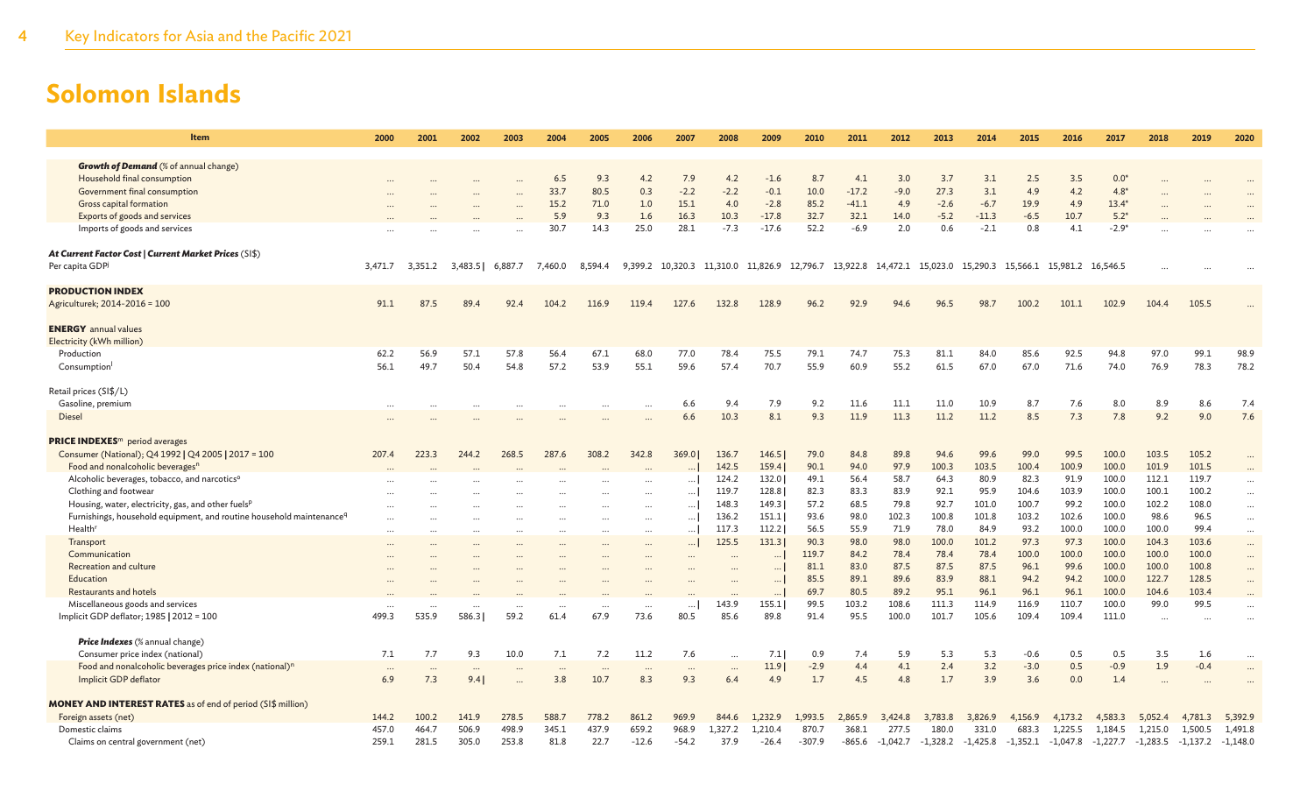| <b>Growth of Demand</b> (% of annual change)<br>Household final consumption<br>6.5<br>9.3<br>7.9<br>4.2<br>8.7<br>4.1<br>3.0<br>3.7<br>3.1<br>2.5<br>3.5<br>$0.0*$<br>4.2<br>$-1.6$<br>33.7<br>80.5<br>$-2.2$<br>$-2.2$<br>$-0.1$<br>10.0<br>$-17.2$<br>27.3<br>3.1<br>4.9<br>$4.8*$<br>Government final consumption<br>0.3<br>$-9.0$<br>4.2<br><b>Gross capital formation</b><br>15.2<br>71.0<br>15.1<br>$-2.8$<br>85.2<br>$-41.1$<br>$-2.6$<br>$-6.7$<br>19.9<br>4.9<br>$13.4*$<br>1.0<br>4.0<br>4.9<br>$-17.8$<br>32.7<br>32.1<br>$5.2*$<br>Exports of goods and services<br>5.9<br>9.3<br>1.6<br>16.3<br>10.3<br>$-5.2$<br>$-11.3$<br>$-6.5$<br>10.7<br>14.0<br>52.2<br>25.0<br>28.1<br>$-7.3$<br>$-2.1$<br>$-2.9*$<br>Imports of goods and services<br>30.7<br>14.3<br>$-17.6$<br>$-6.9$<br>2.0<br>0.6<br>0.8<br>4.1<br>At Current Factor Cost   Current Market Prices (SI\$)<br>Per capita GDP<br>13,922.8 14,472.1 15,023.0 15,290.3 15,566.1 15,981.2 16,546.5<br>3,471.7<br>3,483.5<br>6,887.7<br>7,460.0<br>8,594.4<br>9,399.2 10,320.3 11,310.0 11,826.9 12,796.7<br>3,351.2<br><b>PRODUCTION INDEX</b><br>91.1<br>87.5<br>89.4<br>127.6<br>132.8<br>128.9<br>96.2<br>92.9<br>98.7<br>100.2<br>102.9<br>104.4<br>105.5<br>Agriculturek; 2014-2016 = 100<br>92.4<br>104.2<br>116.9<br>119.4<br>94.6<br>96.5<br>101.1<br><b>ENERGY</b> annual values<br>Electricity (kWh million)<br>56.9<br>57.1<br>57.8<br>56.4<br>67.1<br>68.0<br>77.0<br>78.4<br>75.5<br>79.1<br>75.3<br>81.1<br>84.0<br>85.6<br>92.5<br>97.0<br>99.1<br>98.9<br>Production<br>74.7<br>94.8<br>62.2<br>56.1<br>49.7<br>50.4<br>57.2<br>53.9<br>55.1<br>59.6<br>70.7<br>55.9<br>55.2<br>61.5<br>71.6<br>78.3<br>78.2<br>54.8<br>57.4<br>60.9<br>67.0<br>67.0<br>74.0<br>76.9<br>Consumption<br>Retail prices (SI\$/L)<br>11.1<br>7.6<br>8.9<br>8.6<br>Gasoline, premium<br>6.6<br>9.4<br>7.9<br>9.2<br>11.6<br>11.0<br>10.9<br>8.7<br>8.0<br>7.4<br>7.3<br>7.6<br>6.6<br>10.3<br>8.1<br>9.3<br>11.9<br>11.3<br>11.2<br>11.2<br>8.5<br>7.8<br>9.2<br>9.0<br>Diesel<br><b>PRICE INDEXES</b> <sup>m</sup> period averages<br>103.5<br>Consumer (National); Q4 1992   Q4 2005   2017 = 100<br>223.3<br>287.6<br>369.0<br>89.8<br>99.0<br>99.5<br>100.0<br>105.2<br>207.4<br>244.2<br>268.5<br>308.2<br>342.8<br>136.7<br>146.5<br>79.0<br>84.8<br>94.6<br>99.6<br>101.9<br>101.5<br>Food and nonalcoholic beverages <sup>n</sup><br>159.4<br>90.1<br>97.9<br>100.3<br>103.5<br>100.4<br>100.9<br>100.0<br>142.5<br>94.0<br>Alcoholic beverages, tobacco, and narcotics <sup>o</sup><br>58.7<br>64.3<br>80.9<br>82.3<br>91.9<br>112.1<br>119.7<br>124.2<br>132.0<br>49.1<br>56.4<br>100.0<br><br>Clothing and footwear<br>82.3<br>83.9<br>92.1<br>104.6<br>103.9<br>100.0<br>100.1<br>100.2<br>119.7<br>128.8<br>83.3<br>95.9<br>$\cdots$<br>$\cdots$<br>$\cdots$<br>100.7<br>Housing, water, electricity, gas, and other fuels <sup>p</sup><br>148.3<br>149.3<br>57.2<br>68.5<br>79.8<br>92.7<br>101.0<br>99.2<br>100.0<br>102.2<br>108.0<br>$\cdots$<br>$\cdots$<br>$\cdots$<br>Furnishings, household equipment, and routine household maintenance <sup>q</sup><br>96.5<br>136.2<br>151.1<br>93.6<br>98.0<br>102.3<br>100.8<br>101.8<br>103.2<br>102.6<br>100.0<br>98.6<br>$\cdots$<br>$\cdots$<br>$\cdots$<br><br><b>Health</b> <sup>r</sup><br>84.9<br>93.2<br>99.4<br>117.3<br>112.2<br>56.5<br>55.9<br>71.9<br>78.0<br>100.0<br>100.0<br>100.0<br>$\cdots$<br><br>$\ddotsc$<br>$\ddotsc$<br>$\ddotsc$<br><br><br>98.0<br>97.3<br>97.3<br>103.6<br>125.5<br>131.3<br>90.3<br>98.0<br>100.0<br>101.2<br>100.0<br>104.3<br>Transport<br>$\cdots$<br><br><br>$\cdots$<br><br><br>119.7<br>78.4<br>78.4<br>78.4<br>100.0<br>100.0<br>100.0<br>100.0<br>Communication<br>84.2<br>100.0<br>$\cdots$<br>$\cdots$<br><br>$\cdots$<br>$\cdots$<br>$\ddot{\phantom{a}}$<br>87.5<br>87.5<br>99.6<br>100.0<br>100.8<br>Recreation and culture<br>81.1<br>83.0<br>87.5<br>96.1<br>100.0<br>$\cdots$<br>$\cdots$<br>89.1<br>89.6<br>83.9<br>88.1<br>94.2<br>94.2<br>122.7<br>128.5<br>Education<br>85.5<br>100.0<br>$\cdots$<br>$\ddots$<br>Restaurants and hotels<br>69.7<br>80.5<br>89.2<br>95.1<br>96.1<br>96.1<br>96.1<br>100.0<br>104.6<br>103.4<br>$\cdots$<br>$\cdots$<br>155.1<br>99.5<br>103.2<br>108.6<br>111.3<br>116.9<br>110.7<br>100.0<br>99.0<br>99.5<br>Miscellaneous goods and services<br>143.9<br>114.9<br>$\cdots$<br>$\cdots$<br><br>$\cdots$<br>Implicit GDP deflator; 1985   2012 = 100<br>499.3<br>535.9<br>586.3<br>59.2<br>67.9<br>73.6<br>85.6<br>89.8<br>91.4<br>95.5<br>100.0<br>101.7<br>105.6<br>109.4<br>109.4<br>111.0<br>61.4<br>80.5<br>$\cdots$<br>$\ddotsc$<br>Price Indexes (% annual change)<br>7.7<br>9.3<br>10.0<br>7.1<br>11.2<br>5.3<br>Consumer price index (national)<br>7.1<br>7.2<br>7.6<br>7.1<br>0.9<br>7.4<br>5.9<br>5.3<br>$-0.6$<br>0.5<br>0.5<br>3.5<br>1.6<br>$\cdots$<br>3.2<br>11.9<br>4.4<br>2.4<br>0.5<br>$-0.9$<br>1.9<br>Food and nonalcoholic beverages price index (national) <sup>n</sup><br>$-2.9$<br>4.1<br>$-3.0$<br>$-0.4$<br>$\cdots$<br>$\cdots$<br>$\cdots$<br>$\cdots$<br>$\cdots$<br>$\cdots$<br>$\cdots$<br>$\cdots$<br>$\cdots$<br>3.9<br>Implicit GDP deflator<br>6.9<br>7.3<br>3.8<br>10.7<br>8.3<br>9.3<br>4.9<br>1.7<br>4.5<br>4.8<br>1.7<br>3.6<br>0.0<br>1.4<br>9.4<br>6.4<br><b>MONEY AND INTEREST RATES</b> as of end of period (SI\$ million)<br>861.2<br>Foreign assets (net)<br>144.2<br>100.2<br>141.9<br>278.5<br>588.7<br>778.2<br>969.9<br>844.6<br>1,232.9<br>1,993.5<br>2,865.9<br>3,826.9<br>4,156.9<br>4,583.3<br>4,781.3<br>5,392.9<br>3,424.8<br>3,783.8<br>4,173.2<br>5,052.4<br>Domestic claims<br>464.7<br>506.9<br>498.9<br>345.1<br>659.2<br>968.9<br>368.1<br>331.0<br>1,491.8<br>457.0<br>437.9<br>1.327.2<br>1,210.4<br>870.7<br>277.5<br>180.0<br>683.3<br>1,225.5<br>1,184.5<br>1,215.0<br>1,500.5<br>259.1<br>281.5<br>305.0<br>81.8<br>22.7<br>Claims on central government (net)<br>253.8<br>$-12.6$<br>$-54.2$<br>37.9<br>$-26.4$<br>$-307.9$<br>-865.6<br>$-1,042.7$<br>-1,328.2<br>$-1,425.8$<br>-1,352.1<br>-1,047.8<br>$-1,283.5$<br>$-1,137.2$<br>$-1,148.0$<br>-1,227.7 | Item | 2000 | 2001 | 2002 | 2003 | 2004 | 2005 | 2006 | 2007 | 2008 | 2009 | 2010 | 2011 | 2012 | 2013 | 2014 | 2015 | 2016 | 2017 | 2018 | 2019 | 2020 |
|-----------------------------------------------------------------------------------------------------------------------------------------------------------------------------------------------------------------------------------------------------------------------------------------------------------------------------------------------------------------------------------------------------------------------------------------------------------------------------------------------------------------------------------------------------------------------------------------------------------------------------------------------------------------------------------------------------------------------------------------------------------------------------------------------------------------------------------------------------------------------------------------------------------------------------------------------------------------------------------------------------------------------------------------------------------------------------------------------------------------------------------------------------------------------------------------------------------------------------------------------------------------------------------------------------------------------------------------------------------------------------------------------------------------------------------------------------------------------------------------------------------------------------------------------------------------------------------------------------------------------------------------------------------------------------------------------------------------------------------------------------------------------------------------------------------------------------------------------------------------------------------------------------------------------------------------------------------------------------------------------------------------------------------------------------------------------------------------------------------------------------------------------------------------------------------------------------------------------------------------------------------------------------------------------------------------------------------------------------------------------------------------------------------------------------------------------------------------------------------------------------------------------------------------------------------------------------------------------------------------------------------------------------------------------------------------------------------------------------------------------------------------------------------------------------------------------------------------------------------------------------------------------------------------------------------------------------------------------------------------------------------------------------------------------------------------------------------------------------------------------------------------------------------------------------------------------------------------------------------------------------------------------------------------------------------------------------------------------------------------------------------------------------------------------------------------------------------------------------------------------------------------------------------------------------------------------------------------------------------------------------------------------------------------------------------------------------------------------------------------------------------------------------------------------------------------------------------------------------------------------------------------------------------------------------------------------------------------------------------------------------------------------------------------------------------------------------------------------------------------------------------------------------------------------------------------------------------------------------------------------------------------------------------------------------------------------------------------------------------------------------------------------------------------------------------------------------------------------------------------------------------------------------------------------------------------------------------------------------------------------------------------------------------------------------------------------------------------------------------------------------------------------------------------------------------------------------------------------------------------------------------------------------------------------------------------------------------------------------------------------------------------------------------------------------------------------------------------------------------------------------------------------------------------------------------------------------------------------------------------------------------------------------------------------------------------------------------------------------------------------------------------------------------------------------------------------------------------------------------------------------------------------------------------------------------------------------------------------------------------------------------------------------------------------------------------------------------------------------------------------------------------------------------------------------------------------------------------------------------------------------------------------------------------------------------------------------------------------------------------------------------------------------------------------------------------------------------------------------------------------------------------------------------|------|------|------|------|------|------|------|------|------|------|------|------|------|------|------|------|------|------|------|------|------|------|
|                                                                                                                                                                                                                                                                                                                                                                                                                                                                                                                                                                                                                                                                                                                                                                                                                                                                                                                                                                                                                                                                                                                                                                                                                                                                                                                                                                                                                                                                                                                                                                                                                                                                                                                                                                                                                                                                                                                                                                                                                                                                                                                                                                                                                                                                                                                                                                                                                                                                                                                                                                                                                                                                                                                                                                                                                                                                                                                                                                                                                                                                                                                                                                                                                                                                                                                                                                                                                                                                                                                                                                                                                                                                                                                                                                                                                                                                                                                                                                                                                                                                                                                                                                                                                                                                                                                                                                                                                                                                                                                                                                                                                                                                                                                                                                                                                                                                                                                                                                                                                                                                                                                                                                                                                                                                                                                                                                                                                                                                                                                                                                                                                                                                                                                                                                                                                                                                                                                                                                                                                                                                                                                                                           |      |      |      |      |      |      |      |      |      |      |      |      |      |      |      |      |      |      |      |      |      |      |
|                                                                                                                                                                                                                                                                                                                                                                                                                                                                                                                                                                                                                                                                                                                                                                                                                                                                                                                                                                                                                                                                                                                                                                                                                                                                                                                                                                                                                                                                                                                                                                                                                                                                                                                                                                                                                                                                                                                                                                                                                                                                                                                                                                                                                                                                                                                                                                                                                                                                                                                                                                                                                                                                                                                                                                                                                                                                                                                                                                                                                                                                                                                                                                                                                                                                                                                                                                                                                                                                                                                                                                                                                                                                                                                                                                                                                                                                                                                                                                                                                                                                                                                                                                                                                                                                                                                                                                                                                                                                                                                                                                                                                                                                                                                                                                                                                                                                                                                                                                                                                                                                                                                                                                                                                                                                                                                                                                                                                                                                                                                                                                                                                                                                                                                                                                                                                                                                                                                                                                                                                                                                                                                                                           |      |      |      |      |      |      |      |      |      |      |      |      |      |      |      |      |      |      |      |      |      |      |
|                                                                                                                                                                                                                                                                                                                                                                                                                                                                                                                                                                                                                                                                                                                                                                                                                                                                                                                                                                                                                                                                                                                                                                                                                                                                                                                                                                                                                                                                                                                                                                                                                                                                                                                                                                                                                                                                                                                                                                                                                                                                                                                                                                                                                                                                                                                                                                                                                                                                                                                                                                                                                                                                                                                                                                                                                                                                                                                                                                                                                                                                                                                                                                                                                                                                                                                                                                                                                                                                                                                                                                                                                                                                                                                                                                                                                                                                                                                                                                                                                                                                                                                                                                                                                                                                                                                                                                                                                                                                                                                                                                                                                                                                                                                                                                                                                                                                                                                                                                                                                                                                                                                                                                                                                                                                                                                                                                                                                                                                                                                                                                                                                                                                                                                                                                                                                                                                                                                                                                                                                                                                                                                                                           |      |      |      |      |      |      |      |      |      |      |      |      |      |      |      |      |      |      |      |      |      |      |
|                                                                                                                                                                                                                                                                                                                                                                                                                                                                                                                                                                                                                                                                                                                                                                                                                                                                                                                                                                                                                                                                                                                                                                                                                                                                                                                                                                                                                                                                                                                                                                                                                                                                                                                                                                                                                                                                                                                                                                                                                                                                                                                                                                                                                                                                                                                                                                                                                                                                                                                                                                                                                                                                                                                                                                                                                                                                                                                                                                                                                                                                                                                                                                                                                                                                                                                                                                                                                                                                                                                                                                                                                                                                                                                                                                                                                                                                                                                                                                                                                                                                                                                                                                                                                                                                                                                                                                                                                                                                                                                                                                                                                                                                                                                                                                                                                                                                                                                                                                                                                                                                                                                                                                                                                                                                                                                                                                                                                                                                                                                                                                                                                                                                                                                                                                                                                                                                                                                                                                                                                                                                                                                                                           |      |      |      |      |      |      |      |      |      |      |      |      |      |      |      |      |      |      |      |      |      |      |
|                                                                                                                                                                                                                                                                                                                                                                                                                                                                                                                                                                                                                                                                                                                                                                                                                                                                                                                                                                                                                                                                                                                                                                                                                                                                                                                                                                                                                                                                                                                                                                                                                                                                                                                                                                                                                                                                                                                                                                                                                                                                                                                                                                                                                                                                                                                                                                                                                                                                                                                                                                                                                                                                                                                                                                                                                                                                                                                                                                                                                                                                                                                                                                                                                                                                                                                                                                                                                                                                                                                                                                                                                                                                                                                                                                                                                                                                                                                                                                                                                                                                                                                                                                                                                                                                                                                                                                                                                                                                                                                                                                                                                                                                                                                                                                                                                                                                                                                                                                                                                                                                                                                                                                                                                                                                                                                                                                                                                                                                                                                                                                                                                                                                                                                                                                                                                                                                                                                                                                                                                                                                                                                                                           |      |      |      |      |      |      |      |      |      |      |      |      |      |      |      |      |      |      |      |      |      |      |
|                                                                                                                                                                                                                                                                                                                                                                                                                                                                                                                                                                                                                                                                                                                                                                                                                                                                                                                                                                                                                                                                                                                                                                                                                                                                                                                                                                                                                                                                                                                                                                                                                                                                                                                                                                                                                                                                                                                                                                                                                                                                                                                                                                                                                                                                                                                                                                                                                                                                                                                                                                                                                                                                                                                                                                                                                                                                                                                                                                                                                                                                                                                                                                                                                                                                                                                                                                                                                                                                                                                                                                                                                                                                                                                                                                                                                                                                                                                                                                                                                                                                                                                                                                                                                                                                                                                                                                                                                                                                                                                                                                                                                                                                                                                                                                                                                                                                                                                                                                                                                                                                                                                                                                                                                                                                                                                                                                                                                                                                                                                                                                                                                                                                                                                                                                                                                                                                                                                                                                                                                                                                                                                                                           |      |      |      |      |      |      |      |      |      |      |      |      |      |      |      |      |      |      |      |      |      |      |
|                                                                                                                                                                                                                                                                                                                                                                                                                                                                                                                                                                                                                                                                                                                                                                                                                                                                                                                                                                                                                                                                                                                                                                                                                                                                                                                                                                                                                                                                                                                                                                                                                                                                                                                                                                                                                                                                                                                                                                                                                                                                                                                                                                                                                                                                                                                                                                                                                                                                                                                                                                                                                                                                                                                                                                                                                                                                                                                                                                                                                                                                                                                                                                                                                                                                                                                                                                                                                                                                                                                                                                                                                                                                                                                                                                                                                                                                                                                                                                                                                                                                                                                                                                                                                                                                                                                                                                                                                                                                                                                                                                                                                                                                                                                                                                                                                                                                                                                                                                                                                                                                                                                                                                                                                                                                                                                                                                                                                                                                                                                                                                                                                                                                                                                                                                                                                                                                                                                                                                                                                                                                                                                                                           |      |      |      |      |      |      |      |      |      |      |      |      |      |      |      |      |      |      |      |      |      |      |
|                                                                                                                                                                                                                                                                                                                                                                                                                                                                                                                                                                                                                                                                                                                                                                                                                                                                                                                                                                                                                                                                                                                                                                                                                                                                                                                                                                                                                                                                                                                                                                                                                                                                                                                                                                                                                                                                                                                                                                                                                                                                                                                                                                                                                                                                                                                                                                                                                                                                                                                                                                                                                                                                                                                                                                                                                                                                                                                                                                                                                                                                                                                                                                                                                                                                                                                                                                                                                                                                                                                                                                                                                                                                                                                                                                                                                                                                                                                                                                                                                                                                                                                                                                                                                                                                                                                                                                                                                                                                                                                                                                                                                                                                                                                                                                                                                                                                                                                                                                                                                                                                                                                                                                                                                                                                                                                                                                                                                                                                                                                                                                                                                                                                                                                                                                                                                                                                                                                                                                                                                                                                                                                                                           |      |      |      |      |      |      |      |      |      |      |      |      |      |      |      |      |      |      |      |      |      |      |
|                                                                                                                                                                                                                                                                                                                                                                                                                                                                                                                                                                                                                                                                                                                                                                                                                                                                                                                                                                                                                                                                                                                                                                                                                                                                                                                                                                                                                                                                                                                                                                                                                                                                                                                                                                                                                                                                                                                                                                                                                                                                                                                                                                                                                                                                                                                                                                                                                                                                                                                                                                                                                                                                                                                                                                                                                                                                                                                                                                                                                                                                                                                                                                                                                                                                                                                                                                                                                                                                                                                                                                                                                                                                                                                                                                                                                                                                                                                                                                                                                                                                                                                                                                                                                                                                                                                                                                                                                                                                                                                                                                                                                                                                                                                                                                                                                                                                                                                                                                                                                                                                                                                                                                                                                                                                                                                                                                                                                                                                                                                                                                                                                                                                                                                                                                                                                                                                                                                                                                                                                                                                                                                                                           |      |      |      |      |      |      |      |      |      |      |      |      |      |      |      |      |      |      |      |      |      |      |
|                                                                                                                                                                                                                                                                                                                                                                                                                                                                                                                                                                                                                                                                                                                                                                                                                                                                                                                                                                                                                                                                                                                                                                                                                                                                                                                                                                                                                                                                                                                                                                                                                                                                                                                                                                                                                                                                                                                                                                                                                                                                                                                                                                                                                                                                                                                                                                                                                                                                                                                                                                                                                                                                                                                                                                                                                                                                                                                                                                                                                                                                                                                                                                                                                                                                                                                                                                                                                                                                                                                                                                                                                                                                                                                                                                                                                                                                                                                                                                                                                                                                                                                                                                                                                                                                                                                                                                                                                                                                                                                                                                                                                                                                                                                                                                                                                                                                                                                                                                                                                                                                                                                                                                                                                                                                                                                                                                                                                                                                                                                                                                                                                                                                                                                                                                                                                                                                                                                                                                                                                                                                                                                                                           |      |      |      |      |      |      |      |      |      |      |      |      |      |      |      |      |      |      |      |      |      |      |
|                                                                                                                                                                                                                                                                                                                                                                                                                                                                                                                                                                                                                                                                                                                                                                                                                                                                                                                                                                                                                                                                                                                                                                                                                                                                                                                                                                                                                                                                                                                                                                                                                                                                                                                                                                                                                                                                                                                                                                                                                                                                                                                                                                                                                                                                                                                                                                                                                                                                                                                                                                                                                                                                                                                                                                                                                                                                                                                                                                                                                                                                                                                                                                                                                                                                                                                                                                                                                                                                                                                                                                                                                                                                                                                                                                                                                                                                                                                                                                                                                                                                                                                                                                                                                                                                                                                                                                                                                                                                                                                                                                                                                                                                                                                                                                                                                                                                                                                                                                                                                                                                                                                                                                                                                                                                                                                                                                                                                                                                                                                                                                                                                                                                                                                                                                                                                                                                                                                                                                                                                                                                                                                                                           |      |      |      |      |      |      |      |      |      |      |      |      |      |      |      |      |      |      |      |      |      |      |
|                                                                                                                                                                                                                                                                                                                                                                                                                                                                                                                                                                                                                                                                                                                                                                                                                                                                                                                                                                                                                                                                                                                                                                                                                                                                                                                                                                                                                                                                                                                                                                                                                                                                                                                                                                                                                                                                                                                                                                                                                                                                                                                                                                                                                                                                                                                                                                                                                                                                                                                                                                                                                                                                                                                                                                                                                                                                                                                                                                                                                                                                                                                                                                                                                                                                                                                                                                                                                                                                                                                                                                                                                                                                                                                                                                                                                                                                                                                                                                                                                                                                                                                                                                                                                                                                                                                                                                                                                                                                                                                                                                                                                                                                                                                                                                                                                                                                                                                                                                                                                                                                                                                                                                                                                                                                                                                                                                                                                                                                                                                                                                                                                                                                                                                                                                                                                                                                                                                                                                                                                                                                                                                                                           |      |      |      |      |      |      |      |      |      |      |      |      |      |      |      |      |      |      |      |      |      |      |
|                                                                                                                                                                                                                                                                                                                                                                                                                                                                                                                                                                                                                                                                                                                                                                                                                                                                                                                                                                                                                                                                                                                                                                                                                                                                                                                                                                                                                                                                                                                                                                                                                                                                                                                                                                                                                                                                                                                                                                                                                                                                                                                                                                                                                                                                                                                                                                                                                                                                                                                                                                                                                                                                                                                                                                                                                                                                                                                                                                                                                                                                                                                                                                                                                                                                                                                                                                                                                                                                                                                                                                                                                                                                                                                                                                                                                                                                                                                                                                                                                                                                                                                                                                                                                                                                                                                                                                                                                                                                                                                                                                                                                                                                                                                                                                                                                                                                                                                                                                                                                                                                                                                                                                                                                                                                                                                                                                                                                                                                                                                                                                                                                                                                                                                                                                                                                                                                                                                                                                                                                                                                                                                                                           |      |      |      |      |      |      |      |      |      |      |      |      |      |      |      |      |      |      |      |      |      |      |
|                                                                                                                                                                                                                                                                                                                                                                                                                                                                                                                                                                                                                                                                                                                                                                                                                                                                                                                                                                                                                                                                                                                                                                                                                                                                                                                                                                                                                                                                                                                                                                                                                                                                                                                                                                                                                                                                                                                                                                                                                                                                                                                                                                                                                                                                                                                                                                                                                                                                                                                                                                                                                                                                                                                                                                                                                                                                                                                                                                                                                                                                                                                                                                                                                                                                                                                                                                                                                                                                                                                                                                                                                                                                                                                                                                                                                                                                                                                                                                                                                                                                                                                                                                                                                                                                                                                                                                                                                                                                                                                                                                                                                                                                                                                                                                                                                                                                                                                                                                                                                                                                                                                                                                                                                                                                                                                                                                                                                                                                                                                                                                                                                                                                                                                                                                                                                                                                                                                                                                                                                                                                                                                                                           |      |      |      |      |      |      |      |      |      |      |      |      |      |      |      |      |      |      |      |      |      |      |
|                                                                                                                                                                                                                                                                                                                                                                                                                                                                                                                                                                                                                                                                                                                                                                                                                                                                                                                                                                                                                                                                                                                                                                                                                                                                                                                                                                                                                                                                                                                                                                                                                                                                                                                                                                                                                                                                                                                                                                                                                                                                                                                                                                                                                                                                                                                                                                                                                                                                                                                                                                                                                                                                                                                                                                                                                                                                                                                                                                                                                                                                                                                                                                                                                                                                                                                                                                                                                                                                                                                                                                                                                                                                                                                                                                                                                                                                                                                                                                                                                                                                                                                                                                                                                                                                                                                                                                                                                                                                                                                                                                                                                                                                                                                                                                                                                                                                                                                                                                                                                                                                                                                                                                                                                                                                                                                                                                                                                                                                                                                                                                                                                                                                                                                                                                                                                                                                                                                                                                                                                                                                                                                                                           |      |      |      |      |      |      |      |      |      |      |      |      |      |      |      |      |      |      |      |      |      |      |
|                                                                                                                                                                                                                                                                                                                                                                                                                                                                                                                                                                                                                                                                                                                                                                                                                                                                                                                                                                                                                                                                                                                                                                                                                                                                                                                                                                                                                                                                                                                                                                                                                                                                                                                                                                                                                                                                                                                                                                                                                                                                                                                                                                                                                                                                                                                                                                                                                                                                                                                                                                                                                                                                                                                                                                                                                                                                                                                                                                                                                                                                                                                                                                                                                                                                                                                                                                                                                                                                                                                                                                                                                                                                                                                                                                                                                                                                                                                                                                                                                                                                                                                                                                                                                                                                                                                                                                                                                                                                                                                                                                                                                                                                                                                                                                                                                                                                                                                                                                                                                                                                                                                                                                                                                                                                                                                                                                                                                                                                                                                                                                                                                                                                                                                                                                                                                                                                                                                                                                                                                                                                                                                                                           |      |      |      |      |      |      |      |      |      |      |      |      |      |      |      |      |      |      |      |      |      |      |
|                                                                                                                                                                                                                                                                                                                                                                                                                                                                                                                                                                                                                                                                                                                                                                                                                                                                                                                                                                                                                                                                                                                                                                                                                                                                                                                                                                                                                                                                                                                                                                                                                                                                                                                                                                                                                                                                                                                                                                                                                                                                                                                                                                                                                                                                                                                                                                                                                                                                                                                                                                                                                                                                                                                                                                                                                                                                                                                                                                                                                                                                                                                                                                                                                                                                                                                                                                                                                                                                                                                                                                                                                                                                                                                                                                                                                                                                                                                                                                                                                                                                                                                                                                                                                                                                                                                                                                                                                                                                                                                                                                                                                                                                                                                                                                                                                                                                                                                                                                                                                                                                                                                                                                                                                                                                                                                                                                                                                                                                                                                                                                                                                                                                                                                                                                                                                                                                                                                                                                                                                                                                                                                                                           |      |      |      |      |      |      |      |      |      |      |      |      |      |      |      |      |      |      |      |      |      |      |
|                                                                                                                                                                                                                                                                                                                                                                                                                                                                                                                                                                                                                                                                                                                                                                                                                                                                                                                                                                                                                                                                                                                                                                                                                                                                                                                                                                                                                                                                                                                                                                                                                                                                                                                                                                                                                                                                                                                                                                                                                                                                                                                                                                                                                                                                                                                                                                                                                                                                                                                                                                                                                                                                                                                                                                                                                                                                                                                                                                                                                                                                                                                                                                                                                                                                                                                                                                                                                                                                                                                                                                                                                                                                                                                                                                                                                                                                                                                                                                                                                                                                                                                                                                                                                                                                                                                                                                                                                                                                                                                                                                                                                                                                                                                                                                                                                                                                                                                                                                                                                                                                                                                                                                                                                                                                                                                                                                                                                                                                                                                                                                                                                                                                                                                                                                                                                                                                                                                                                                                                                                                                                                                                                           |      |      |      |      |      |      |      |      |      |      |      |      |      |      |      |      |      |      |      |      |      |      |
|                                                                                                                                                                                                                                                                                                                                                                                                                                                                                                                                                                                                                                                                                                                                                                                                                                                                                                                                                                                                                                                                                                                                                                                                                                                                                                                                                                                                                                                                                                                                                                                                                                                                                                                                                                                                                                                                                                                                                                                                                                                                                                                                                                                                                                                                                                                                                                                                                                                                                                                                                                                                                                                                                                                                                                                                                                                                                                                                                                                                                                                                                                                                                                                                                                                                                                                                                                                                                                                                                                                                                                                                                                                                                                                                                                                                                                                                                                                                                                                                                                                                                                                                                                                                                                                                                                                                                                                                                                                                                                                                                                                                                                                                                                                                                                                                                                                                                                                                                                                                                                                                                                                                                                                                                                                                                                                                                                                                                                                                                                                                                                                                                                                                                                                                                                                                                                                                                                                                                                                                                                                                                                                                                           |      |      |      |      |      |      |      |      |      |      |      |      |      |      |      |      |      |      |      |      |      |      |
|                                                                                                                                                                                                                                                                                                                                                                                                                                                                                                                                                                                                                                                                                                                                                                                                                                                                                                                                                                                                                                                                                                                                                                                                                                                                                                                                                                                                                                                                                                                                                                                                                                                                                                                                                                                                                                                                                                                                                                                                                                                                                                                                                                                                                                                                                                                                                                                                                                                                                                                                                                                                                                                                                                                                                                                                                                                                                                                                                                                                                                                                                                                                                                                                                                                                                                                                                                                                                                                                                                                                                                                                                                                                                                                                                                                                                                                                                                                                                                                                                                                                                                                                                                                                                                                                                                                                                                                                                                                                                                                                                                                                                                                                                                                                                                                                                                                                                                                                                                                                                                                                                                                                                                                                                                                                                                                                                                                                                                                                                                                                                                                                                                                                                                                                                                                                                                                                                                                                                                                                                                                                                                                                                           |      |      |      |      |      |      |      |      |      |      |      |      |      |      |      |      |      |      |      |      |      |      |
|                                                                                                                                                                                                                                                                                                                                                                                                                                                                                                                                                                                                                                                                                                                                                                                                                                                                                                                                                                                                                                                                                                                                                                                                                                                                                                                                                                                                                                                                                                                                                                                                                                                                                                                                                                                                                                                                                                                                                                                                                                                                                                                                                                                                                                                                                                                                                                                                                                                                                                                                                                                                                                                                                                                                                                                                                                                                                                                                                                                                                                                                                                                                                                                                                                                                                                                                                                                                                                                                                                                                                                                                                                                                                                                                                                                                                                                                                                                                                                                                                                                                                                                                                                                                                                                                                                                                                                                                                                                                                                                                                                                                                                                                                                                                                                                                                                                                                                                                                                                                                                                                                                                                                                                                                                                                                                                                                                                                                                                                                                                                                                                                                                                                                                                                                                                                                                                                                                                                                                                                                                                                                                                                                           |      |      |      |      |      |      |      |      |      |      |      |      |      |      |      |      |      |      |      |      |      |      |
|                                                                                                                                                                                                                                                                                                                                                                                                                                                                                                                                                                                                                                                                                                                                                                                                                                                                                                                                                                                                                                                                                                                                                                                                                                                                                                                                                                                                                                                                                                                                                                                                                                                                                                                                                                                                                                                                                                                                                                                                                                                                                                                                                                                                                                                                                                                                                                                                                                                                                                                                                                                                                                                                                                                                                                                                                                                                                                                                                                                                                                                                                                                                                                                                                                                                                                                                                                                                                                                                                                                                                                                                                                                                                                                                                                                                                                                                                                                                                                                                                                                                                                                                                                                                                                                                                                                                                                                                                                                                                                                                                                                                                                                                                                                                                                                                                                                                                                                                                                                                                                                                                                                                                                                                                                                                                                                                                                                                                                                                                                                                                                                                                                                                                                                                                                                                                                                                                                                                                                                                                                                                                                                                                           |      |      |      |      |      |      |      |      |      |      |      |      |      |      |      |      |      |      |      |      |      |      |
|                                                                                                                                                                                                                                                                                                                                                                                                                                                                                                                                                                                                                                                                                                                                                                                                                                                                                                                                                                                                                                                                                                                                                                                                                                                                                                                                                                                                                                                                                                                                                                                                                                                                                                                                                                                                                                                                                                                                                                                                                                                                                                                                                                                                                                                                                                                                                                                                                                                                                                                                                                                                                                                                                                                                                                                                                                                                                                                                                                                                                                                                                                                                                                                                                                                                                                                                                                                                                                                                                                                                                                                                                                                                                                                                                                                                                                                                                                                                                                                                                                                                                                                                                                                                                                                                                                                                                                                                                                                                                                                                                                                                                                                                                                                                                                                                                                                                                                                                                                                                                                                                                                                                                                                                                                                                                                                                                                                                                                                                                                                                                                                                                                                                                                                                                                                                                                                                                                                                                                                                                                                                                                                                                           |      |      |      |      |      |      |      |      |      |      |      |      |      |      |      |      |      |      |      |      |      |      |
|                                                                                                                                                                                                                                                                                                                                                                                                                                                                                                                                                                                                                                                                                                                                                                                                                                                                                                                                                                                                                                                                                                                                                                                                                                                                                                                                                                                                                                                                                                                                                                                                                                                                                                                                                                                                                                                                                                                                                                                                                                                                                                                                                                                                                                                                                                                                                                                                                                                                                                                                                                                                                                                                                                                                                                                                                                                                                                                                                                                                                                                                                                                                                                                                                                                                                                                                                                                                                                                                                                                                                                                                                                                                                                                                                                                                                                                                                                                                                                                                                                                                                                                                                                                                                                                                                                                                                                                                                                                                                                                                                                                                                                                                                                                                                                                                                                                                                                                                                                                                                                                                                                                                                                                                                                                                                                                                                                                                                                                                                                                                                                                                                                                                                                                                                                                                                                                                                                                                                                                                                                                                                                                                                           |      |      |      |      |      |      |      |      |      |      |      |      |      |      |      |      |      |      |      |      |      |      |
|                                                                                                                                                                                                                                                                                                                                                                                                                                                                                                                                                                                                                                                                                                                                                                                                                                                                                                                                                                                                                                                                                                                                                                                                                                                                                                                                                                                                                                                                                                                                                                                                                                                                                                                                                                                                                                                                                                                                                                                                                                                                                                                                                                                                                                                                                                                                                                                                                                                                                                                                                                                                                                                                                                                                                                                                                                                                                                                                                                                                                                                                                                                                                                                                                                                                                                                                                                                                                                                                                                                                                                                                                                                                                                                                                                                                                                                                                                                                                                                                                                                                                                                                                                                                                                                                                                                                                                                                                                                                                                                                                                                                                                                                                                                                                                                                                                                                                                                                                                                                                                                                                                                                                                                                                                                                                                                                                                                                                                                                                                                                                                                                                                                                                                                                                                                                                                                                                                                                                                                                                                                                                                                                                           |      |      |      |      |      |      |      |      |      |      |      |      |      |      |      |      |      |      |      |      |      |      |
|                                                                                                                                                                                                                                                                                                                                                                                                                                                                                                                                                                                                                                                                                                                                                                                                                                                                                                                                                                                                                                                                                                                                                                                                                                                                                                                                                                                                                                                                                                                                                                                                                                                                                                                                                                                                                                                                                                                                                                                                                                                                                                                                                                                                                                                                                                                                                                                                                                                                                                                                                                                                                                                                                                                                                                                                                                                                                                                                                                                                                                                                                                                                                                                                                                                                                                                                                                                                                                                                                                                                                                                                                                                                                                                                                                                                                                                                                                                                                                                                                                                                                                                                                                                                                                                                                                                                                                                                                                                                                                                                                                                                                                                                                                                                                                                                                                                                                                                                                                                                                                                                                                                                                                                                                                                                                                                                                                                                                                                                                                                                                                                                                                                                                                                                                                                                                                                                                                                                                                                                                                                                                                                                                           |      |      |      |      |      |      |      |      |      |      |      |      |      |      |      |      |      |      |      |      |      |      |
|                                                                                                                                                                                                                                                                                                                                                                                                                                                                                                                                                                                                                                                                                                                                                                                                                                                                                                                                                                                                                                                                                                                                                                                                                                                                                                                                                                                                                                                                                                                                                                                                                                                                                                                                                                                                                                                                                                                                                                                                                                                                                                                                                                                                                                                                                                                                                                                                                                                                                                                                                                                                                                                                                                                                                                                                                                                                                                                                                                                                                                                                                                                                                                                                                                                                                                                                                                                                                                                                                                                                                                                                                                                                                                                                                                                                                                                                                                                                                                                                                                                                                                                                                                                                                                                                                                                                                                                                                                                                                                                                                                                                                                                                                                                                                                                                                                                                                                                                                                                                                                                                                                                                                                                                                                                                                                                                                                                                                                                                                                                                                                                                                                                                                                                                                                                                                                                                                                                                                                                                                                                                                                                                                           |      |      |      |      |      |      |      |      |      |      |      |      |      |      |      |      |      |      |      |      |      |      |
|                                                                                                                                                                                                                                                                                                                                                                                                                                                                                                                                                                                                                                                                                                                                                                                                                                                                                                                                                                                                                                                                                                                                                                                                                                                                                                                                                                                                                                                                                                                                                                                                                                                                                                                                                                                                                                                                                                                                                                                                                                                                                                                                                                                                                                                                                                                                                                                                                                                                                                                                                                                                                                                                                                                                                                                                                                                                                                                                                                                                                                                                                                                                                                                                                                                                                                                                                                                                                                                                                                                                                                                                                                                                                                                                                                                                                                                                                                                                                                                                                                                                                                                                                                                                                                                                                                                                                                                                                                                                                                                                                                                                                                                                                                                                                                                                                                                                                                                                                                                                                                                                                                                                                                                                                                                                                                                                                                                                                                                                                                                                                                                                                                                                                                                                                                                                                                                                                                                                                                                                                                                                                                                                                           |      |      |      |      |      |      |      |      |      |      |      |      |      |      |      |      |      |      |      |      |      |      |
|                                                                                                                                                                                                                                                                                                                                                                                                                                                                                                                                                                                                                                                                                                                                                                                                                                                                                                                                                                                                                                                                                                                                                                                                                                                                                                                                                                                                                                                                                                                                                                                                                                                                                                                                                                                                                                                                                                                                                                                                                                                                                                                                                                                                                                                                                                                                                                                                                                                                                                                                                                                                                                                                                                                                                                                                                                                                                                                                                                                                                                                                                                                                                                                                                                                                                                                                                                                                                                                                                                                                                                                                                                                                                                                                                                                                                                                                                                                                                                                                                                                                                                                                                                                                                                                                                                                                                                                                                                                                                                                                                                                                                                                                                                                                                                                                                                                                                                                                                                                                                                                                                                                                                                                                                                                                                                                                                                                                                                                                                                                                                                                                                                                                                                                                                                                                                                                                                                                                                                                                                                                                                                                                                           |      |      |      |      |      |      |      |      |      |      |      |      |      |      |      |      |      |      |      |      |      |      |
|                                                                                                                                                                                                                                                                                                                                                                                                                                                                                                                                                                                                                                                                                                                                                                                                                                                                                                                                                                                                                                                                                                                                                                                                                                                                                                                                                                                                                                                                                                                                                                                                                                                                                                                                                                                                                                                                                                                                                                                                                                                                                                                                                                                                                                                                                                                                                                                                                                                                                                                                                                                                                                                                                                                                                                                                                                                                                                                                                                                                                                                                                                                                                                                                                                                                                                                                                                                                                                                                                                                                                                                                                                                                                                                                                                                                                                                                                                                                                                                                                                                                                                                                                                                                                                                                                                                                                                                                                                                                                                                                                                                                                                                                                                                                                                                                                                                                                                                                                                                                                                                                                                                                                                                                                                                                                                                                                                                                                                                                                                                                                                                                                                                                                                                                                                                                                                                                                                                                                                                                                                                                                                                                                           |      |      |      |      |      |      |      |      |      |      |      |      |      |      |      |      |      |      |      |      |      |      |
|                                                                                                                                                                                                                                                                                                                                                                                                                                                                                                                                                                                                                                                                                                                                                                                                                                                                                                                                                                                                                                                                                                                                                                                                                                                                                                                                                                                                                                                                                                                                                                                                                                                                                                                                                                                                                                                                                                                                                                                                                                                                                                                                                                                                                                                                                                                                                                                                                                                                                                                                                                                                                                                                                                                                                                                                                                                                                                                                                                                                                                                                                                                                                                                                                                                                                                                                                                                                                                                                                                                                                                                                                                                                                                                                                                                                                                                                                                                                                                                                                                                                                                                                                                                                                                                                                                                                                                                                                                                                                                                                                                                                                                                                                                                                                                                                                                                                                                                                                                                                                                                                                                                                                                                                                                                                                                                                                                                                                                                                                                                                                                                                                                                                                                                                                                                                                                                                                                                                                                                                                                                                                                                                                           |      |      |      |      |      |      |      |      |      |      |      |      |      |      |      |      |      |      |      |      |      |      |
|                                                                                                                                                                                                                                                                                                                                                                                                                                                                                                                                                                                                                                                                                                                                                                                                                                                                                                                                                                                                                                                                                                                                                                                                                                                                                                                                                                                                                                                                                                                                                                                                                                                                                                                                                                                                                                                                                                                                                                                                                                                                                                                                                                                                                                                                                                                                                                                                                                                                                                                                                                                                                                                                                                                                                                                                                                                                                                                                                                                                                                                                                                                                                                                                                                                                                                                                                                                                                                                                                                                                                                                                                                                                                                                                                                                                                                                                                                                                                                                                                                                                                                                                                                                                                                                                                                                                                                                                                                                                                                                                                                                                                                                                                                                                                                                                                                                                                                                                                                                                                                                                                                                                                                                                                                                                                                                                                                                                                                                                                                                                                                                                                                                                                                                                                                                                                                                                                                                                                                                                                                                                                                                                                           |      |      |      |      |      |      |      |      |      |      |      |      |      |      |      |      |      |      |      |      |      |      |
|                                                                                                                                                                                                                                                                                                                                                                                                                                                                                                                                                                                                                                                                                                                                                                                                                                                                                                                                                                                                                                                                                                                                                                                                                                                                                                                                                                                                                                                                                                                                                                                                                                                                                                                                                                                                                                                                                                                                                                                                                                                                                                                                                                                                                                                                                                                                                                                                                                                                                                                                                                                                                                                                                                                                                                                                                                                                                                                                                                                                                                                                                                                                                                                                                                                                                                                                                                                                                                                                                                                                                                                                                                                                                                                                                                                                                                                                                                                                                                                                                                                                                                                                                                                                                                                                                                                                                                                                                                                                                                                                                                                                                                                                                                                                                                                                                                                                                                                                                                                                                                                                                                                                                                                                                                                                                                                                                                                                                                                                                                                                                                                                                                                                                                                                                                                                                                                                                                                                                                                                                                                                                                                                                           |      |      |      |      |      |      |      |      |      |      |      |      |      |      |      |      |      |      |      |      |      |      |
|                                                                                                                                                                                                                                                                                                                                                                                                                                                                                                                                                                                                                                                                                                                                                                                                                                                                                                                                                                                                                                                                                                                                                                                                                                                                                                                                                                                                                                                                                                                                                                                                                                                                                                                                                                                                                                                                                                                                                                                                                                                                                                                                                                                                                                                                                                                                                                                                                                                                                                                                                                                                                                                                                                                                                                                                                                                                                                                                                                                                                                                                                                                                                                                                                                                                                                                                                                                                                                                                                                                                                                                                                                                                                                                                                                                                                                                                                                                                                                                                                                                                                                                                                                                                                                                                                                                                                                                                                                                                                                                                                                                                                                                                                                                                                                                                                                                                                                                                                                                                                                                                                                                                                                                                                                                                                                                                                                                                                                                                                                                                                                                                                                                                                                                                                                                                                                                                                                                                                                                                                                                                                                                                                           |      |      |      |      |      |      |      |      |      |      |      |      |      |      |      |      |      |      |      |      |      |      |
|                                                                                                                                                                                                                                                                                                                                                                                                                                                                                                                                                                                                                                                                                                                                                                                                                                                                                                                                                                                                                                                                                                                                                                                                                                                                                                                                                                                                                                                                                                                                                                                                                                                                                                                                                                                                                                                                                                                                                                                                                                                                                                                                                                                                                                                                                                                                                                                                                                                                                                                                                                                                                                                                                                                                                                                                                                                                                                                                                                                                                                                                                                                                                                                                                                                                                                                                                                                                                                                                                                                                                                                                                                                                                                                                                                                                                                                                                                                                                                                                                                                                                                                                                                                                                                                                                                                                                                                                                                                                                                                                                                                                                                                                                                                                                                                                                                                                                                                                                                                                                                                                                                                                                                                                                                                                                                                                                                                                                                                                                                                                                                                                                                                                                                                                                                                                                                                                                                                                                                                                                                                                                                                                                           |      |      |      |      |      |      |      |      |      |      |      |      |      |      |      |      |      |      |      |      |      |      |
|                                                                                                                                                                                                                                                                                                                                                                                                                                                                                                                                                                                                                                                                                                                                                                                                                                                                                                                                                                                                                                                                                                                                                                                                                                                                                                                                                                                                                                                                                                                                                                                                                                                                                                                                                                                                                                                                                                                                                                                                                                                                                                                                                                                                                                                                                                                                                                                                                                                                                                                                                                                                                                                                                                                                                                                                                                                                                                                                                                                                                                                                                                                                                                                                                                                                                                                                                                                                                                                                                                                                                                                                                                                                                                                                                                                                                                                                                                                                                                                                                                                                                                                                                                                                                                                                                                                                                                                                                                                                                                                                                                                                                                                                                                                                                                                                                                                                                                                                                                                                                                                                                                                                                                                                                                                                                                                                                                                                                                                                                                                                                                                                                                                                                                                                                                                                                                                                                                                                                                                                                                                                                                                                                           |      |      |      |      |      |      |      |      |      |      |      |      |      |      |      |      |      |      |      |      |      |      |
|                                                                                                                                                                                                                                                                                                                                                                                                                                                                                                                                                                                                                                                                                                                                                                                                                                                                                                                                                                                                                                                                                                                                                                                                                                                                                                                                                                                                                                                                                                                                                                                                                                                                                                                                                                                                                                                                                                                                                                                                                                                                                                                                                                                                                                                                                                                                                                                                                                                                                                                                                                                                                                                                                                                                                                                                                                                                                                                                                                                                                                                                                                                                                                                                                                                                                                                                                                                                                                                                                                                                                                                                                                                                                                                                                                                                                                                                                                                                                                                                                                                                                                                                                                                                                                                                                                                                                                                                                                                                                                                                                                                                                                                                                                                                                                                                                                                                                                                                                                                                                                                                                                                                                                                                                                                                                                                                                                                                                                                                                                                                                                                                                                                                                                                                                                                                                                                                                                                                                                                                                                                                                                                                                           |      |      |      |      |      |      |      |      |      |      |      |      |      |      |      |      |      |      |      |      |      |      |
|                                                                                                                                                                                                                                                                                                                                                                                                                                                                                                                                                                                                                                                                                                                                                                                                                                                                                                                                                                                                                                                                                                                                                                                                                                                                                                                                                                                                                                                                                                                                                                                                                                                                                                                                                                                                                                                                                                                                                                                                                                                                                                                                                                                                                                                                                                                                                                                                                                                                                                                                                                                                                                                                                                                                                                                                                                                                                                                                                                                                                                                                                                                                                                                                                                                                                                                                                                                                                                                                                                                                                                                                                                                                                                                                                                                                                                                                                                                                                                                                                                                                                                                                                                                                                                                                                                                                                                                                                                                                                                                                                                                                                                                                                                                                                                                                                                                                                                                                                                                                                                                                                                                                                                                                                                                                                                                                                                                                                                                                                                                                                                                                                                                                                                                                                                                                                                                                                                                                                                                                                                                                                                                                                           |      |      |      |      |      |      |      |      |      |      |      |      |      |      |      |      |      |      |      |      |      |      |
|                                                                                                                                                                                                                                                                                                                                                                                                                                                                                                                                                                                                                                                                                                                                                                                                                                                                                                                                                                                                                                                                                                                                                                                                                                                                                                                                                                                                                                                                                                                                                                                                                                                                                                                                                                                                                                                                                                                                                                                                                                                                                                                                                                                                                                                                                                                                                                                                                                                                                                                                                                                                                                                                                                                                                                                                                                                                                                                                                                                                                                                                                                                                                                                                                                                                                                                                                                                                                                                                                                                                                                                                                                                                                                                                                                                                                                                                                                                                                                                                                                                                                                                                                                                                                                                                                                                                                                                                                                                                                                                                                                                                                                                                                                                                                                                                                                                                                                                                                                                                                                                                                                                                                                                                                                                                                                                                                                                                                                                                                                                                                                                                                                                                                                                                                                                                                                                                                                                                                                                                                                                                                                                                                           |      |      |      |      |      |      |      |      |      |      |      |      |      |      |      |      |      |      |      |      |      |      |
|                                                                                                                                                                                                                                                                                                                                                                                                                                                                                                                                                                                                                                                                                                                                                                                                                                                                                                                                                                                                                                                                                                                                                                                                                                                                                                                                                                                                                                                                                                                                                                                                                                                                                                                                                                                                                                                                                                                                                                                                                                                                                                                                                                                                                                                                                                                                                                                                                                                                                                                                                                                                                                                                                                                                                                                                                                                                                                                                                                                                                                                                                                                                                                                                                                                                                                                                                                                                                                                                                                                                                                                                                                                                                                                                                                                                                                                                                                                                                                                                                                                                                                                                                                                                                                                                                                                                                                                                                                                                                                                                                                                                                                                                                                                                                                                                                                                                                                                                                                                                                                                                                                                                                                                                                                                                                                                                                                                                                                                                                                                                                                                                                                                                                                                                                                                                                                                                                                                                                                                                                                                                                                                                                           |      |      |      |      |      |      |      |      |      |      |      |      |      |      |      |      |      |      |      |      |      |      |
|                                                                                                                                                                                                                                                                                                                                                                                                                                                                                                                                                                                                                                                                                                                                                                                                                                                                                                                                                                                                                                                                                                                                                                                                                                                                                                                                                                                                                                                                                                                                                                                                                                                                                                                                                                                                                                                                                                                                                                                                                                                                                                                                                                                                                                                                                                                                                                                                                                                                                                                                                                                                                                                                                                                                                                                                                                                                                                                                                                                                                                                                                                                                                                                                                                                                                                                                                                                                                                                                                                                                                                                                                                                                                                                                                                                                                                                                                                                                                                                                                                                                                                                                                                                                                                                                                                                                                                                                                                                                                                                                                                                                                                                                                                                                                                                                                                                                                                                                                                                                                                                                                                                                                                                                                                                                                                                                                                                                                                                                                                                                                                                                                                                                                                                                                                                                                                                                                                                                                                                                                                                                                                                                                           |      |      |      |      |      |      |      |      |      |      |      |      |      |      |      |      |      |      |      |      |      |      |
|                                                                                                                                                                                                                                                                                                                                                                                                                                                                                                                                                                                                                                                                                                                                                                                                                                                                                                                                                                                                                                                                                                                                                                                                                                                                                                                                                                                                                                                                                                                                                                                                                                                                                                                                                                                                                                                                                                                                                                                                                                                                                                                                                                                                                                                                                                                                                                                                                                                                                                                                                                                                                                                                                                                                                                                                                                                                                                                                                                                                                                                                                                                                                                                                                                                                                                                                                                                                                                                                                                                                                                                                                                                                                                                                                                                                                                                                                                                                                                                                                                                                                                                                                                                                                                                                                                                                                                                                                                                                                                                                                                                                                                                                                                                                                                                                                                                                                                                                                                                                                                                                                                                                                                                                                                                                                                                                                                                                                                                                                                                                                                                                                                                                                                                                                                                                                                                                                                                                                                                                                                                                                                                                                           |      |      |      |      |      |      |      |      |      |      |      |      |      |      |      |      |      |      |      |      |      |      |
|                                                                                                                                                                                                                                                                                                                                                                                                                                                                                                                                                                                                                                                                                                                                                                                                                                                                                                                                                                                                                                                                                                                                                                                                                                                                                                                                                                                                                                                                                                                                                                                                                                                                                                                                                                                                                                                                                                                                                                                                                                                                                                                                                                                                                                                                                                                                                                                                                                                                                                                                                                                                                                                                                                                                                                                                                                                                                                                                                                                                                                                                                                                                                                                                                                                                                                                                                                                                                                                                                                                                                                                                                                                                                                                                                                                                                                                                                                                                                                                                                                                                                                                                                                                                                                                                                                                                                                                                                                                                                                                                                                                                                                                                                                                                                                                                                                                                                                                                                                                                                                                                                                                                                                                                                                                                                                                                                                                                                                                                                                                                                                                                                                                                                                                                                                                                                                                                                                                                                                                                                                                                                                                                                           |      |      |      |      |      |      |      |      |      |      |      |      |      |      |      |      |      |      |      |      |      |      |
|                                                                                                                                                                                                                                                                                                                                                                                                                                                                                                                                                                                                                                                                                                                                                                                                                                                                                                                                                                                                                                                                                                                                                                                                                                                                                                                                                                                                                                                                                                                                                                                                                                                                                                                                                                                                                                                                                                                                                                                                                                                                                                                                                                                                                                                                                                                                                                                                                                                                                                                                                                                                                                                                                                                                                                                                                                                                                                                                                                                                                                                                                                                                                                                                                                                                                                                                                                                                                                                                                                                                                                                                                                                                                                                                                                                                                                                                                                                                                                                                                                                                                                                                                                                                                                                                                                                                                                                                                                                                                                                                                                                                                                                                                                                                                                                                                                                                                                                                                                                                                                                                                                                                                                                                                                                                                                                                                                                                                                                                                                                                                                                                                                                                                                                                                                                                                                                                                                                                                                                                                                                                                                                                                           |      |      |      |      |      |      |      |      |      |      |      |      |      |      |      |      |      |      |      |      |      |      |
|                                                                                                                                                                                                                                                                                                                                                                                                                                                                                                                                                                                                                                                                                                                                                                                                                                                                                                                                                                                                                                                                                                                                                                                                                                                                                                                                                                                                                                                                                                                                                                                                                                                                                                                                                                                                                                                                                                                                                                                                                                                                                                                                                                                                                                                                                                                                                                                                                                                                                                                                                                                                                                                                                                                                                                                                                                                                                                                                                                                                                                                                                                                                                                                                                                                                                                                                                                                                                                                                                                                                                                                                                                                                                                                                                                                                                                                                                                                                                                                                                                                                                                                                                                                                                                                                                                                                                                                                                                                                                                                                                                                                                                                                                                                                                                                                                                                                                                                                                                                                                                                                                                                                                                                                                                                                                                                                                                                                                                                                                                                                                                                                                                                                                                                                                                                                                                                                                                                                                                                                                                                                                                                                                           |      |      |      |      |      |      |      |      |      |      |      |      |      |      |      |      |      |      |      |      |      |      |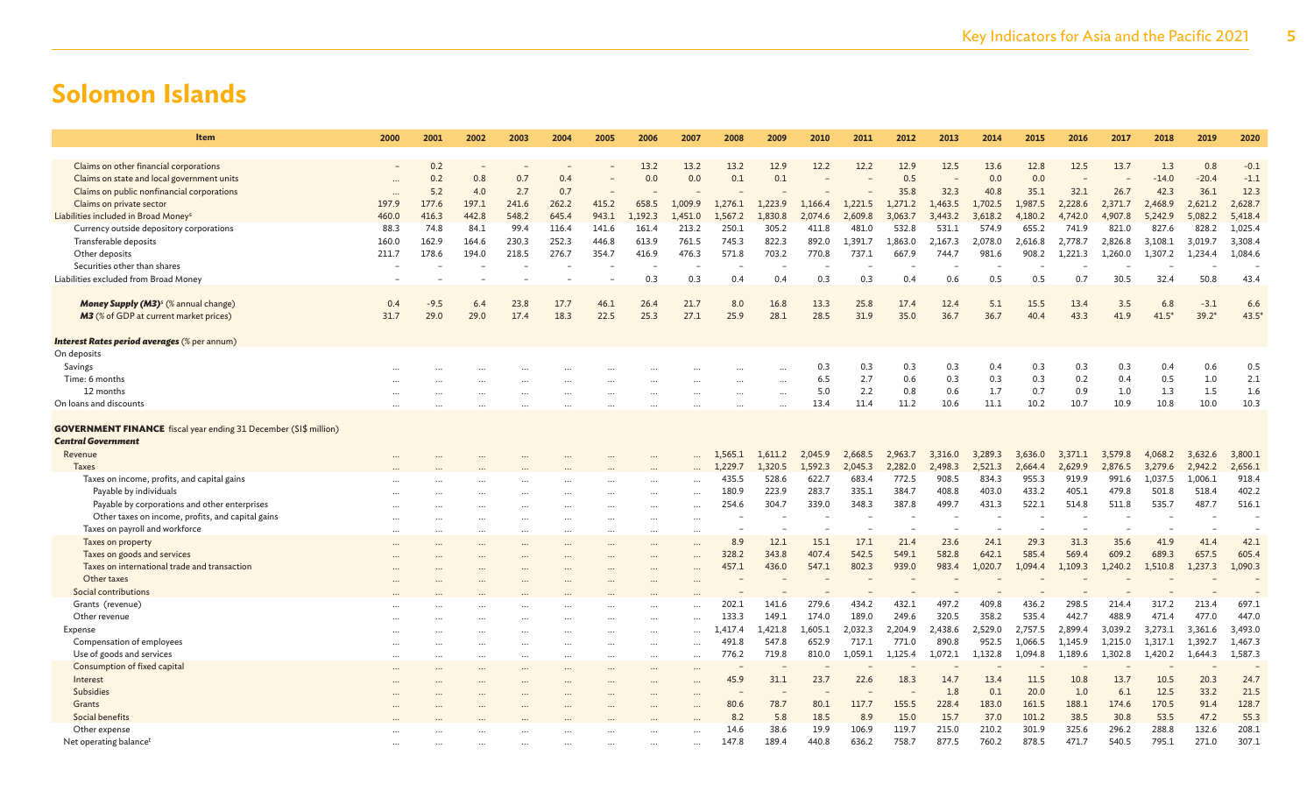| Item                                                                                                 | 2000      | 2001   | 2002      | 2003     | 2004  | 2005     | 2006                     | 2007                 | 2008     | 2009      | 2010    | 2011    | 2012    | 2013    | 2014    | 2015    | 2016    | 2017    | 2018    | 2019    | 2020    |
|------------------------------------------------------------------------------------------------------|-----------|--------|-----------|----------|-------|----------|--------------------------|----------------------|----------|-----------|---------|---------|---------|---------|---------|---------|---------|---------|---------|---------|---------|
|                                                                                                      |           |        |           |          |       |          |                          |                      |          |           |         |         |         |         |         |         |         |         |         |         |         |
| Claims on other financial corporations                                                               |           | 0.2    |           |          |       |          | 13.2                     | 13.2                 | 13.2     | 12.9      | 12.2    | 12.2    | 12.9    | 12.5    | 13.6    | 12.8    | 12.5    | 13.7    | 1.3     | 0.8     | $-0.1$  |
| Claims on state and local government units                                                           |           | 0.2    | 0.8       | 0.7      | 0.4   |          | 0.0                      | 0.0                  | 0.1      | 0.1       |         |         | 0.5     |         | 0.0     | 0.0     |         |         | $-14.0$ | $-20.4$ | $-1.1$  |
| Claims on public nonfinancial corporations                                                           | $\cdots$  | 5.2    | 4.0       | 2.7      | 0.7   |          |                          |                      |          |           |         |         | 35.8    | 32.3    | 40.8    | 35.1    | 32.1    | 26.7    | 42.3    | 36.1    | 12.3    |
| Claims on private sector                                                                             | 197.9     | 177.6  | 197.1     | 241.6    | 262.2 | 415.2    | 658.5                    | 1.009.9              | 1.276.1  | 1.223.9   | 1.166.4 | 1,221.5 | 1,271.2 | ,463.5  | 1,702.5 | 1,987.5 | 2,228.6 | 2,371.7 | 2,468.9 | 2,621.2 | 2,628.7 |
| Liabilities included in Broad Money <sup>s</sup>                                                     | 460.0     | 416.3  | 442.8     | 548.2    | 645.4 | 943.1    | 1,192.3                  | 1,451.0              | 1,567.2  | 1,830.8   | 2.074.6 | 2,609.8 | 3,063.7 | 3,443.2 | 3,618.2 | 4,180.2 | 4,742.0 | 4,907.8 | 5,242.9 | 5,082.2 | 5,418.4 |
| Currency outside depository corporations                                                             | 88.3      | 74.8   | 84.1      | 99.4     | 116.4 | 141.6    | 161.4                    | 213.2                | 250.1    | 305.2     | 411.8   | 481.0   | 532.8   | 531.1   | 574.9   | 655.2   | 741.9   | 821.0   | 827.6   | 828.2   | 1,025.4 |
| Transferable deposits                                                                                | 160.0     | 162.9  | 164.6     | 230.3    | 252.3 | 446.8    | 613.9                    | 761.5                | 745.3    | 822.3     | 892.0   | 1.391.7 | 1,863.0 | 2,167.3 | 2,078.0 | 2,616.8 | 2,778.7 | 2,826.8 | 3,108.1 | 3,019.7 | 3,308.4 |
| Other deposits                                                                                       | 211.7     | 178.6  | 194.0     | 218.5    | 276.7 | 354.7    | 416.9                    | 476.3                | 571.8    | 703.2     | 770.8   | 737.1   | 667.9   | 744.7   | 981.6   | 908.2   | 1,221.3 | 1,260.0 | 1,307.2 | 1,234.4 | 1,084.6 |
| Securities other than shares                                                                         |           |        |           |          |       |          |                          |                      |          |           |         |         |         |         |         |         |         |         |         |         |         |
| Liabilities excluded from Broad Money                                                                |           |        |           |          |       |          | 0.3                      | 0.3                  | 0.4      | 0.4       | 0.3     | 0.3     | 0.4     | 0.6     | 0.5     | 0.5     | 0.7     | 30.5    | 32.4    | 50.8    | 43.4    |
|                                                                                                      |           |        |           |          |       |          |                          |                      |          |           |         |         |         |         |         |         |         |         |         |         |         |
| Money Supply (M3) <sup>s</sup> (% annual change)                                                     | 0.4       | $-9.5$ | 6.4       | 23.8     | 17.7  | 46.1     | 26.4                     | 21.7                 | 8.0      | 16.8      | 13.3    | 25.8    | 17.4    | 12.4    | 5.1     | 15.5    | 13.4    | 3.5     | 6.8     | $-3.1$  | 6.6     |
| M3 (% of GDP at current market prices)                                                               | 31.7      | 29.0   | 29.0      | 17.4     | 18.3  | 22.5     | 25.3                     | 27.1                 | 25.9     | 28.1      | 28.5    | 31.9    | 35.0    | 36.7    | 36.7    | 40.4    | 43.3    | 41.9    | $41.5*$ | $39.2*$ | 43.5'   |
|                                                                                                      |           |        |           |          |       |          |                          |                      |          |           |         |         |         |         |         |         |         |         |         |         |         |
| Interest Rates period averages (% per annum)                                                         |           |        |           |          |       |          |                          |                      |          |           |         |         |         |         |         |         |         |         |         |         |         |
| On deposits                                                                                          |           |        |           |          |       |          |                          |                      |          |           |         |         |         |         |         |         |         |         |         |         |         |
| Savings                                                                                              |           |        |           |          |       |          |                          |                      |          |           | 0.3     | 0.3     | 0.3     | 0.3     | 0.4     | 0.3     | 0.3     | 0.3     | 0.4     | 0.6     | 0.5     |
| Time: 6 months                                                                                       |           |        |           |          |       |          |                          |                      |          | $\cdots$  | 6.5     | 2.7     | 0.6     | 0.3     | 0.3     | 0.3     | 0.2     | 0.4     | 0.5     | 1.0     | 2.1     |
| 12 months                                                                                            |           |        |           |          |       |          | $\cdots$                 |                      | $\cdots$ | $\cdots$  | 5.0     | 2.2     | 0.8     | 0.6     | 1.7     | 0.7     | 0.9     | 1.0     | 1.3     | 1.5     | 1.6     |
| On loans and discounts                                                                               |           |        |           |          |       |          |                          |                      |          | $\ddotsc$ | 13.4    | 11.4    | 11.2    | 10.6    | 11.1    | 10.2    | 10.7    | 10.9    | 10.8    | 10.0    | 10.3    |
|                                                                                                      |           |        |           |          |       |          |                          |                      |          |           |         |         |         |         |         |         |         |         |         |         |         |
| <b>GOVERNMENT FINANCE</b> fiscal year ending 31 December (SI\$ million)<br><b>Central Government</b> |           |        |           |          |       |          |                          |                      |          |           |         |         |         |         |         |         |         |         |         |         |         |
| Revenue                                                                                              |           |        |           |          |       |          |                          |                      | 1,565.1  | 1,611.2   | 2,045.9 | 2,668.5 | 2,963.7 | 3,316.0 | 3,289.3 | 3,636.0 | 3,371.1 | 3,579.8 | 4,068.2 | 3,632.6 | 3,800.1 |
| <b>Taxes</b>                                                                                         |           |        |           |          |       |          |                          |                      | 1,229.7  | 1,320.5   | 1.592.3 | 2,045.3 | 2,282.0 | 2,498.3 | 2,521.3 | 2,664.4 | 2,629.9 | 2,876.5 | 3,279.6 | 2,942.2 | 2,656.1 |
| Taxes on income, profits, and capital gains                                                          |           |        |           |          |       |          |                          |                      | 435.5    | 528.6     | 622.7   | 683.4   | 772.5   | 908.5   | 834.3   | 955.3   | 919.9   | 991.6   | 1,037.5 | 1.006.1 | 918.4   |
| Payable by individuals                                                                               |           |        |           |          |       |          |                          |                      | 180.9    | 223.9     | 283.7   | 335.1   | 384.7   | 408.8   | 403.0   | 433.2   | 405.1   | 479.8   | 501.8   | 518.4   | 402.2   |
| Payable by corporations and other enterprises                                                        |           |        |           |          |       |          |                          | $\sim$               | 254.6    | 304.7     | 339.0   | 348.3   | 387.8   | 499.7   | 431.3   | 522.1   | 514.8   | 511.8   | 535.7   | 487.7   | 516.1   |
| Other taxes on income, profits, and capital gains                                                    |           |        |           |          |       |          |                          |                      |          |           |         |         |         |         |         |         |         |         |         |         |         |
| Taxes on payroll and workforce                                                                       |           |        |           |          |       |          |                          |                      |          |           |         |         |         |         |         |         |         |         |         |         |         |
| Taxes on property                                                                                    |           |        |           |          |       |          | $\cdots$                 |                      | 8.9      | 12.1      | 15.1    | 17.1    | 21.4    | 23.6    | 24.1    | 29.3    | 31.3    | 35.6    | 41.9    | 41.4    | 42.1    |
| Taxes on goods and services                                                                          |           |        |           |          |       |          | $\cdots$                 |                      | 328.2    | 343.8     | 407.4   | 542.5   | 549.1   | 582.8   | 642.1   | 585.4   | 569.4   | 609.2   | 689.3   | 657.5   | 605.4   |
| Taxes on international trade and transaction                                                         |           |        |           |          |       |          |                          |                      | 457.1    | 436.0     | 547.1   | 802.3   | 939.0   | 983.4   | 1,020.7 | 1.094.4 | 1,109.3 | 1,240.2 | 1,510.8 | 1,237.3 | 1,090.3 |
| Other taxes                                                                                          |           |        |           |          |       |          | $\ddotsc$                |                      |          |           |         |         |         |         |         |         |         |         |         |         |         |
| Social contributions                                                                                 |           |        |           |          |       |          |                          |                      |          |           |         |         |         |         |         |         |         |         |         |         |         |
| Grants (revenue)                                                                                     |           |        |           |          |       |          | $\overline{\phantom{a}}$ |                      | 202.1    | 141.6     | 279.6   | 434.2   | 432.1   | 497.2   | 409.8   | 436.2   | 298.5   | 214.4   | 317.2   | 213.4   | 697.1   |
| Other revenue                                                                                        |           |        |           |          |       |          | $\cdots$                 | $\ddotsc$            | 133.3    | 149.1     | 174.0   | 189.0   | 249.6   | 320.5   | 358.2   | 535.4   | 442.7   | 488.9   | 471.4   | 477.0   | 447.0   |
| Expense                                                                                              |           |        |           |          |       |          | $\cdots$                 | $\ddot{\phantom{a}}$ | 1.417.4  | 1,421.8   | 1,605.1 | 2,032.3 | 2,204.9 | 2,438.6 | 2.529.0 | 2,757.5 | 2,899.4 | 3,039.2 | 3,273.1 | 3,361.6 | 3,493.0 |
| Compensation of employees                                                                            |           |        | $\ddotsc$ |          |       |          | $\cdots$                 | $\ddotsc$            | 491.8    | 547.8     | 652.9   | 717.1   | 771.0   | 890.8   | 952.5   | 1,066.5 | 1.145.9 | 1,215.0 | 1.317.1 | 1,392.7 | 1,467.3 |
| Use of goods and services                                                                            | $\ddotsc$ |        |           | $\cdots$ |       | $\cdots$ | $\cdots$                 | $\ddotsc$            | 776.2    | 719.8     | 810.0   | 1,059.1 | 1,125.4 | 1,072.1 | 1,132.8 | 1,094.8 | 1,189.6 | 1,302.8 | 1,420.2 | 1,644.3 | 1,587.3 |
| Consumption of fixed capital                                                                         |           |        |           |          |       |          | $\cdots$                 |                      |          |           |         |         |         |         |         |         |         |         |         |         |         |
| Interest                                                                                             |           |        |           |          |       |          | $\cdots$                 |                      | 45.9     | 31.1      | 23.7    | 22.6    | 18.3    | 14.7    | 13.4    | 11.5    | 10.8    | 13.7    | 10.5    | 20.3    | 24.7    |
| Subsidies                                                                                            |           |        |           |          |       |          |                          |                      |          |           |         |         |         | 1.8     | 0.1     | 20.0    | 1.0     | 6.1     | 12.5    | 33.2    | 21.5    |
| Grants                                                                                               |           |        |           |          |       |          |                          |                      | 80.6     | 78.7      | 80.1    | 117.7   | 155.5   | 228.4   | 183.0   | 161.5   | 188.1   | 174.6   | 170.5   | 91.4    | 128.7   |
| Social benefits                                                                                      |           |        |           |          |       |          |                          |                      | 8.2      | 5.8       | 18.5    | 8.9     | 15.0    | 15.7    | 37.0    | 101.2   | 38.5    | 30.8    | 53.5    | 47.2    | 55.3    |
| Other expense                                                                                        |           |        |           |          |       |          |                          |                      | 14.6     | 38.6      | 19.9    | 106.9   | 119.7   | 215.0   | 210.2   | 301.9   | 325.6   | 296.2   | 288.8   | 132.6   | 208.1   |
| Net operating balance <sup>t</sup>                                                                   |           |        |           |          |       |          |                          | $\cdots$             | 147.8    | 189.4     | 440.8   | 636.2   | 758.7   | 877.5   | 760.2   | 878.5   | 471.7   | 540.5   | 795.1   | 271.0   | 307.1   |
|                                                                                                      |           |        |           |          |       |          |                          |                      |          |           |         |         |         |         |         |         |         |         |         |         |         |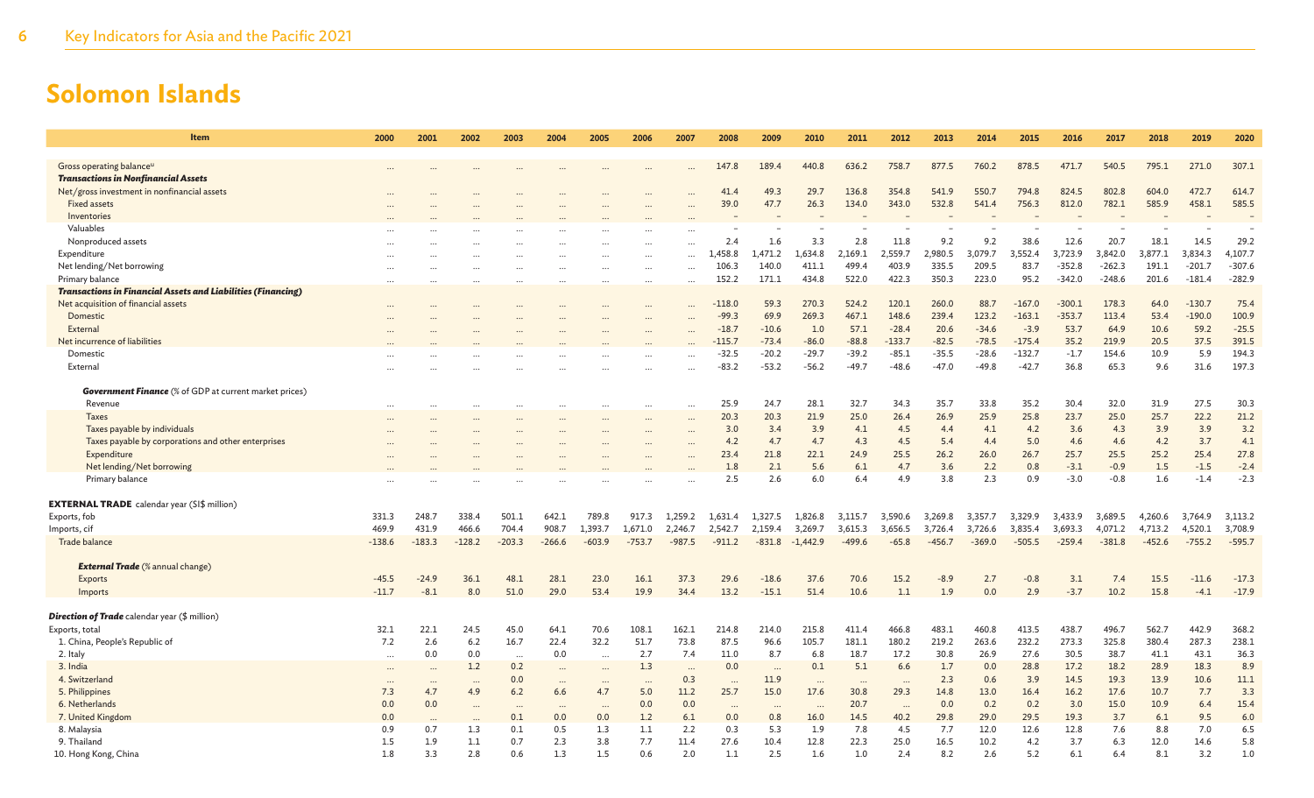| <b>Item</b>                                                                        | 2000     | 2001                 | 2002      | 2003      | 2004                     | 2005      | 2006             | 2007      | 2008           | 2009                     | 2010               | 2011               | 2012               | 2013               | 2014               | 2015               | 2016                 | 2017                 | 2018               | 2019                 | 2020                 |
|------------------------------------------------------------------------------------|----------|----------------------|-----------|-----------|--------------------------|-----------|------------------|-----------|----------------|--------------------------|--------------------|--------------------|--------------------|--------------------|--------------------|--------------------|----------------------|----------------------|--------------------|----------------------|----------------------|
|                                                                                    |          |                      |           |           |                          |           |                  |           |                |                          |                    |                    |                    |                    |                    |                    |                      |                      |                    |                      |                      |
| Gross operating balance <sup>u</sup><br><b>Transactions in Nonfinancial Assets</b> |          |                      |           |           |                          |           |                  |           | 147.8          | 189.4                    | 440.8              | 636.2              | 758.7              | 877.5              | 760.2              | 878.5              | 471.7                | 540.5                | 795.1              | 271.0                | 307.1                |
| Net/gross investment in nonfinancial assets                                        |          |                      |           |           |                          |           |                  |           | 41.4           | 49.3                     | 29.7               | 136.8              | 354.8              | 541.9              | 550.7              | 794.8              | 824.5                | 802.8                | 604.0              | 472.7                | 614.7                |
| <b>Fixed assets</b>                                                                |          |                      |           |           |                          |           |                  |           | 39.0           | 47.7                     | 26.3               | 134.0              | 343.0              | 532.8              | 541.4              | 756.3              | 812.0                | 782.1                | 585.9              | 458.1                | 585.5                |
| Inventories                                                                        |          |                      |           |           |                          |           |                  |           |                |                          |                    |                    |                    |                    |                    |                    |                      |                      |                    |                      |                      |
| Valuables                                                                          |          |                      |           |           |                          |           |                  |           |                |                          |                    |                    |                    |                    |                    |                    |                      |                      |                    |                      |                      |
| Nonproduced assets                                                                 |          |                      |           |           |                          |           |                  | $\cdots$  | 2.4            | 1.6                      | 3.3                | 2.8                | 11.8               | 9.2                | 9.2                | 38.6               | 12.6                 | 20.7                 | 18.1               | 14.5                 | 29.2                 |
| Expenditure                                                                        |          |                      |           |           |                          |           |                  |           | 1,458.8        | 1,471.2                  | 1,634.8            | 2,169.1            | 2,559.7            | 2,980.5            | 3,079.7            | 3,552.4            | 3,723.9              | 3,842.0              | 3,877.1            | 3,834.3              | 4,107.7              |
| Net lending/Net borrowing<br>Primary balance                                       |          |                      |           |           |                          |           | $\cdots$         | $\cdots$  | 106.3<br>152.2 | 140.0<br>171.1           | 411.1<br>434.8     | 499.4<br>522.0     | 403.9<br>422.3     | 335.5<br>350.3     | 209.5<br>223.0     | 83.7<br>95.2       | $-352.8$<br>$-342.0$ | $-262.3$<br>$-248.6$ | 191.1<br>201.6     | $-201.7$<br>$-181.4$ | $-307.6$<br>$-282.9$ |
| <b>Transactions in Financial Assets and Liabilities (Financing)</b>                |          |                      |           |           |                          |           |                  | $\cdots$  |                |                          |                    |                    |                    |                    |                    |                    |                      |                      |                    |                      |                      |
| Net acquisition of financial assets                                                |          |                      |           |           |                          |           |                  |           | $-118.0$       | 59.3                     | 270.3              | 524.2              | 120.1              | 260.0              | 88.7               | $-167.0$           | $-300.1$             | 178.3                | 64.0               | $-130.7$             | 75.4                 |
| Domestic                                                                           |          |                      |           |           |                          |           |                  |           | $-99.3$        | 69.9                     | 269.3              | 467.1              | 148.6              | 239.4              | 123.2              | $-163.1$           | $-353.7$             | 113.4                | 53.4               | $-190.0$             | 100.9                |
| External                                                                           |          |                      |           |           |                          |           |                  |           | $-18.7$        | $-10.6$                  | 1.0                | 57.1               | $-28.4$            | 20.6               | $-34.6$            | $-3.9$             | 53.7                 | 64.9                 | 10.6               | 59.2                 | $-25.5$              |
| Net incurrence of liabilities                                                      |          |                      |           |           |                          |           |                  |           | $-115.7$       | $-73.4$                  | $-86.0$            | $-88.8$            | $-133.7$           | $-82.5$            | $-78.5$            | $-175.4$           | 35.2                 | 219.9                | 20.5               | 37.5                 | 391.5                |
| Domestic                                                                           |          |                      |           |           |                          |           |                  |           | $-32.5$        | $-20.2$                  | $-29.7$            | $-39.2$            | $-85.1$            | $-35.5$            | $-28.6$            | $-132.7$           | $-1.7$               | 154.6                | 10.9               | 5.9                  | 194.3                |
| External                                                                           |          |                      |           |           |                          |           |                  |           | $-83.2$        | $-53.2$                  | $-56.2$            | $-49.7$            | $-48.6$            | $-47.0$            | $-49.8$            | $-42.7$            | 36.8                 | 65.3                 | 9.6                | 31.6                 | 197.3                |
|                                                                                    |          |                      |           |           |                          |           |                  |           |                |                          |                    |                    |                    |                    |                    |                    |                      |                      |                    |                      |                      |
| <b>Government Finance</b> (% of GDP at current market prices)                      |          |                      |           |           |                          |           |                  |           |                |                          |                    |                    |                    |                    |                    |                    |                      |                      |                    |                      |                      |
| Revenue                                                                            | $\cdots$ | $\ddot{\phantom{a}}$ |           | $\ddotsc$ |                          | $\ddotsc$ | $\cdots$         | $\cdots$  | 25.9           | 24.7                     | 28.1               | 32.7               | 34.3               | 35.7               | 33.8               | 35.2               | 30.4                 | 32.0                 | 31.9               | 27.5                 | 30.3                 |
| <b>Taxes</b>                                                                       |          |                      |           |           |                          |           |                  |           | 20.3           | 20.3                     | 21.9               | 25.0               | 26.4               | 26.9               | 25.9               | 25.8               | 23.7                 | 25.0                 | 25.7               | 22.2                 | 21.2                 |
| Taxes payable by individuals                                                       |          |                      |           |           |                          |           |                  | $\ddotsc$ | 3.0            | 3.4                      | 3.9                | 4.1                | 4.5                | 4.4                | 4.1                | 4.2                | 3.6                  | 4.3                  | 3.9                | 3.9                  | 3.2                  |
| Taxes payable by corporations and other enterprises                                |          |                      |           |           |                          |           |                  |           | 4.2            | 4.7                      | 4.7                | 4.3                | 4.5                | 5.4                | 4.4                | 5.0                | 4.6                  | 4.6                  | 4.2                | 3.7                  | 4.1                  |
| Expenditure                                                                        |          |                      |           |           |                          |           |                  |           | 23.4           | 21.8                     | 22.1               | 24.9               | 25.5               | 26.2               | 26.0               | 26.7               | 25.7                 | 25.5                 | 25.2               | 25.4                 | 27.8                 |
| Net lending/Net borrowing                                                          |          |                      |           |           |                          |           |                  |           | 1.8            | 2.1                      | 5.6                | 6.1                | 4.7                | 3.6                | 2.2                | 0.8                | $-3.1$               | $-0.9$               | 1.5                | $-1.5$               | $-2.4$               |
| Primary balance                                                                    |          |                      |           |           |                          |           |                  |           | 2.5            | 2.6                      | 6.0                | 6.4                | 4.9                | 3.8                | 2.3                | 0.9                | $-3.0$               | $-0.8$               | 1.6                | $-1.4$               | $-2.3$               |
|                                                                                    |          |                      |           |           |                          |           |                  |           |                |                          |                    |                    |                    |                    |                    |                    |                      |                      |                    |                      |                      |
| $\mathsf{EXTERNAL}$ $\mathsf{TRADE}$ calendar year (SI\$ million)<br>Exports, fob  | 331.3    | 248.7                | 338.4     | 501.1     | 642.1                    | 789.8     |                  | 1,259.2   | 1,631.4        | 1,327.5                  |                    |                    |                    |                    |                    |                    |                      |                      |                    |                      | 3,113.2              |
| Imports, cif                                                                       | 469.9    | 431.9                | 466.6     | 704.4     | 908.7                    | 1,393.7   | 917.3<br>1,671.0 | 2.246.7   | 2,542.7        | 2,159.4                  | 1,826.8<br>3,269.7 | 3,115.7<br>3,615.3 | 3,590.6<br>3,656.5 | 3,269.8<br>3,726.4 | 3,357.7<br>3,726.6 | 3,329.9<br>3,835.4 | 3,433.9<br>3.693.3   | 3,689.5<br>4,071.2   | 4,260.6<br>4,713.2 | 3,764.9<br>4,520.1   | 3,708.9              |
| Trade balance                                                                      | $-138.6$ | $-183.3$             | $-128.2$  | $-203.3$  | $-266.6$                 | $-603.9$  | $-753.7$         | $-987.5$  | $-911.2$       | $-831.8$                 | $-1.442.9$         | $-499.6$           | $-65.8$            | $-456.7$           | $-369.0$           | $-505.5$           | $-259.4$             | $-381.8$             | $-452.6$           | $-755.2$             | $-595.7$             |
|                                                                                    |          |                      |           |           |                          |           |                  |           |                |                          |                    |                    |                    |                    |                    |                    |                      |                      |                    |                      |                      |
| <b>External Trade</b> (% annual change)                                            |          |                      |           |           |                          |           |                  |           |                |                          |                    |                    |                    |                    |                    |                    |                      |                      |                    |                      |                      |
| Exports                                                                            | $-45.5$  | $-24.9$              | 36.1      | 48.1      | 28.1                     | 23.0      | 16.1             | 37.3      | 29.6           | $-18.6$                  | 37.6               | 70.6               | 15.2               | $-8.9$             | 2.7                | $-0.8$             | 3.1                  | 7.4                  | 15.5               | $-11.6$              | $-17.3$              |
| Imports                                                                            | $-11.7$  | $-8.1$               | 8.0       | 51.0      | 29.0                     | 53.4      | 19.9             | 34.4      | 13.2           | $-15.1$                  | 51.4               | 10.6               | 1.1                | 1.9                | 0.0                | 2.9                | $-3.7$               | 10.2                 | 15.8               | $-4.1$               | $-17.9$              |
|                                                                                    |          |                      |           |           |                          |           |                  |           |                |                          |                    |                    |                    |                    |                    |                    |                      |                      |                    |                      |                      |
| <b>Direction of Trade</b> calendar year (\$ million)                               |          |                      |           |           |                          |           |                  |           |                |                          |                    |                    |                    |                    |                    |                    |                      |                      |                    |                      |                      |
| Exports, total                                                                     | 32.1     | 22.1                 | 24.5      | 45.0      | 64.1                     | 70.6      | 108.1            | 162.1     | 214.8          | 214.0                    | 215.8              | 411.4              | 466.8              | 483.1              | 460.8              | 413.5              | 438.7                | 496.7                | 562.7              | 442.9                | 368.2                |
| 1. China, People's Republic of                                                     | 7.2      | 2.6                  | 6.2       | 16.7      | 22.4                     | 32.2      | 51.7             | 73.8      | 87.5           | 96.6                     | 105.7              | 181.1              | 180.2              | 219.2              | 263.6              | 232.2              | 273.3                | 325.8                | 380.4              | 287.3                | 238.1                |
| 2. Italy                                                                           | $\cdots$ | 0.0                  | 0.0       | $\ddotsc$ | 0.0                      | $\ddotsc$ | 2.7              | 7.4       | 11.0           | 8.7                      | 6.8                | 18.7               | 17.2               | 30.8               | 26.9               | 27.6               | 30.5                 | 38.7                 | 41.1               | 43.1                 | 36.3                 |
| 3. India                                                                           | $\cdots$ | $\sim$               | 1.2       | 0.2       | $\overline{\phantom{a}}$ | $\cdots$  | 1.3              | $\cdots$  | 0.0            | $\overline{\phantom{a}}$ | 0.1                | 5.1                | 6.6                | 1.7                | 0.0                | 28.8               | 17.2                 | 18.2                 | 28.9               | 18.3                 | 8.9                  |
| 4. Switzerland                                                                     | $\cdots$ | $\cdots$             |           | 0.0       | $\cdots$                 | $\cdots$  | $\cdots$         | 0.3       | $\cdots$       | 11.9                     | $\cdots$           | $\cdots$           | $\cdot$ .          | 2.3                | 0.6                | 3.9                | 14.5                 | 19.3                 | 13.9               | 10.6                 | 11.1                 |
| 5. Philippines                                                                     | 7.3      | 4.7                  | 4.9       | 6.2       | 6.6                      | 4.7       | 5.0              | 11.2      | 25.7           | 15.0                     | 17.6               | 30.8               | 29.3               | 14.8               | 13.0               | 16.4               | 16.2                 | 17.6                 | 10.7               | 7.7                  | 3.3                  |
| 6. Netherlands                                                                     | 0.0      | 0.0                  |           |           | $\cdots$                 | $\cdots$  | 0.0              | 0.0       | $\cdots$       | $\cdots$                 | $\cdots$           | 20.7               | $\cdots$           | 0.0                | 0.2                | 0.2                | 3.0                  | 15.0                 | 10.9               | 6.4                  | 15.4                 |
| 7. United Kingdom                                                                  | 0.0      | $\sim$               | $\ddotsc$ | 0.1       | 0.0                      | 0.0       | 1.2              | 6.1       | 0.0            | 0.8                      | 16.0               | 14.5               | 40.2               | 29.8               | 29.0               | 29.5               | 19.3                 | 3.7                  | 6.1                | 9.5                  | 6.0                  |
| 8. Malaysia                                                                        | 0.9      | 0.7                  | 1.3       | 0.1       | 0.5                      | 1.3       | 1.1              | 2.2       | 0.3            | 5.3                      | 1.9                | 7.8                | 4.5                | 7.7                | 12.0               | 12.6               | 12.8                 | 7.6                  | 8.8                | 7.0                  | 6.5                  |
| 9. Thailand                                                                        | 1.5      | 1.9                  | 1.1       | 0.7       | 2.3                      | 3.8       | 7.7              | 11.4      | 27.6           | 10.4                     | 12.8               | 22.3               | 25.0               | 16.5               | 10.2               | 4.2                | 3.7                  | 6.3                  | 12.0               | 14.6                 | 5.8                  |
| 10. Hong Kong, China                                                               | 1.8      | 3.3                  | 2.8       | 0.6       | 1.3                      | 1.5       | 0.6              | 2.0       | 1.1            | 2.5                      | 1.6                | 1.0                | 2.4                | 8.2                | 2.6                | 5.2                | 6.1                  | 6.4                  | 8.1                | 3.2                  | 1.0                  |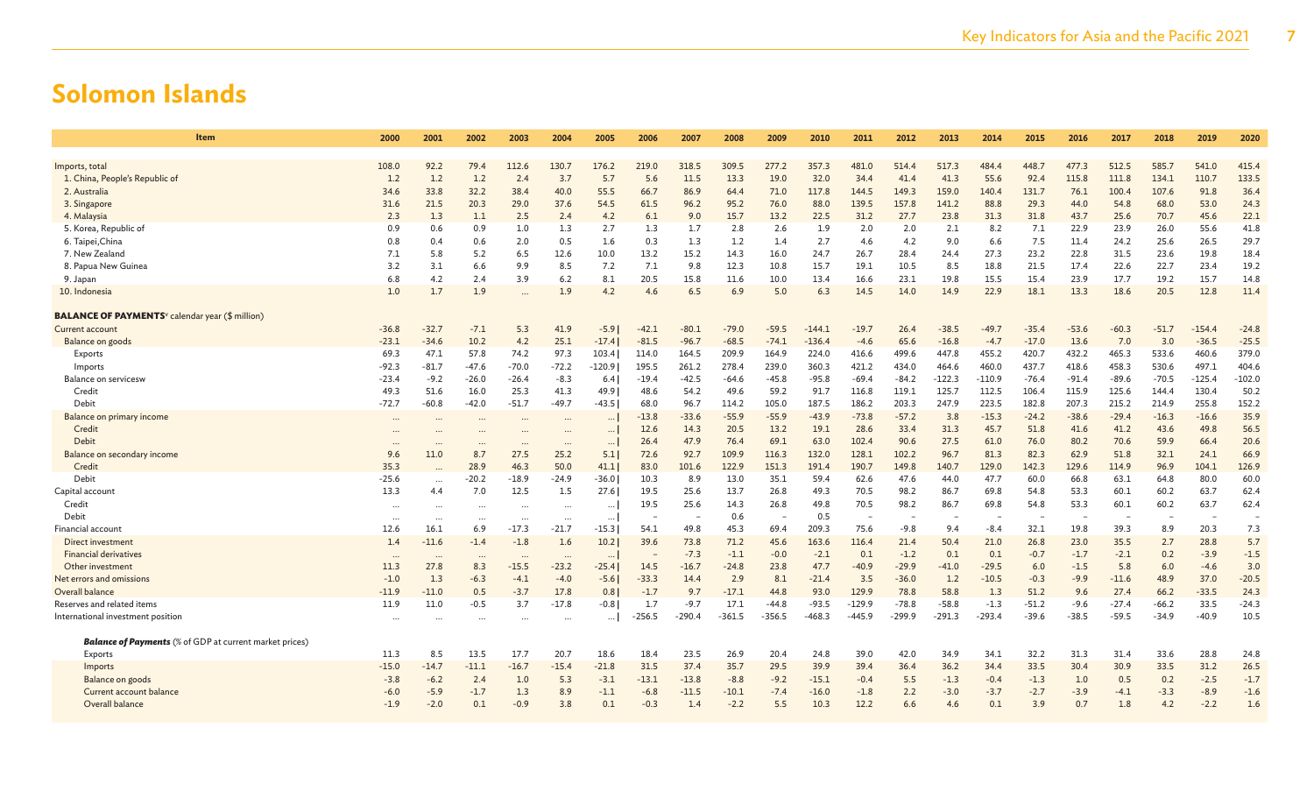| Item                                                               | 2000     | 2001     | 2002     | 2003      | 2004      | 2005     | 2006     | 2007     | 2008     | 2009     | 2010     | 2011                     | 2012     | 2013     | 2014     | 2015    | 2016    | 2017    | 2018    | 2019     | 2020     |
|--------------------------------------------------------------------|----------|----------|----------|-----------|-----------|----------|----------|----------|----------|----------|----------|--------------------------|----------|----------|----------|---------|---------|---------|---------|----------|----------|
| Imports, total                                                     | 108.0    | 92.2     | 79.4     | 112.6     | 130.7     | 176.2    | 219.0    | 318.5    | 309.5    | 277.2    | 357.3    | 481.0                    | 514.4    | 517.3    | 484.4    | 448.7   | 477.3   | 512.5   | 585.7   | 541.0    | 415.4    |
| 1. China, People's Republic of                                     | 1.2      | 1.2      | 1.2      | 2.4       | 3.7       | 5.7      | 5.6      | 11.5     | 13.3     | 19.0     | 32.0     | 34.4                     | 41.4     | 41.3     | 55.6     | 92.4    | 115.8   | 111.8   | 134.1   | 110.7    | 133.5    |
| 2. Australia                                                       | 34.6     | 33.8     | 32.2     | 38.4      | 40.0      | 55.5     | 66.7     | 86.9     | 64.4     | 71.0     | 117.8    | 144.5                    | 149.3    | 159.0    | 140.4    | 131.7   | 76.1    | 100.4   | 107.6   | 91.8     | 36.4     |
| 3. Singapore                                                       | 31.6     | 21.5     | 20.3     | 29.0      | 37.6      | 54.5     | 61.5     | 96.2     | 95.2     | 76.0     | 88.0     | 139.5                    | 157.8    | 141.2    | 88.8     | 29.3    | 44.0    | 54.8    | 68.0    | 53.0     | 24.3     |
| 4. Malaysia                                                        | 2.3      | 1.3      | 1.1      | 2.5       | 2.4       | 4.2      | 6.1      | 9.0      | 15.7     | 13.2     | 22.5     | 31.2                     | 27.7     | 23.8     | 31.3     | 31.8    | 43.7    | 25.6    | 70.7    | 45.6     | 22.1     |
| 5. Korea, Republic of                                              | 0.9      | 0.6      | 0.9      | 1.0       | 1.3       | 2.7      | 1.3      | 1.7      | 2.8      | 2.6      | 1.9      | 2.0                      | 2.0      | 2.1      | 8.2      | 7.1     | 22.9    | 23.9    | 26.0    | 55.6     | 41.8     |
| 6. Taipei, China                                                   | 0.8      | 0.4      | 0.6      | 2.0       | 0.5       | 1.6      | 0.3      | 1.3      | 1.2      | 1.4      | 2.7      | 4.6                      | 4.2      | 9.0      | 6.6      | 7.5     | 11.4    | 24.2    | 25.6    | 26.5     | 29.7     |
| 7. New Zealand                                                     | 7.1      | 5.8      | 5.2      | 6.5       | 12.6      | 10.0     | 13.2     | 15.2     | 14.3     | 16.0     | 24.7     | 26.7                     | 28.4     | 24.4     | 27.3     | 23.2    | 22.8    | 31.5    | 23.6    | 19.8     | 18.4     |
| 8. Papua New Guinea                                                | 3.2      | 3.1      | 6.6      | 9.9       | 8.5       | 7.2      | 7.1      | 9.8      | 12.3     | 10.8     | 15.7     | 19.1                     | 10.5     | 8.5      | 18.8     | 21.5    | 17.4    | 22.6    | 22.7    | 23.4     | 19.2     |
| 9. Japan                                                           | 6.8      | 4.2      | 2.4      | 3.9       | 6.2       | 8.1      | 20.5     | 15.8     | 11.6     | 10.0     | 13.4     | 16.6                     | 23.1     | 19.8     | 15.5     | 15.4    | 23.9    | 17.7    | 19.2    | 15.7     | 14.8     |
| 10. Indonesia                                                      | 1.0      | 1.7      | 1.9      | $\ddotsc$ | 1.9       | 4.2      | 4.6      | 6.5      | 6.9      | 5.0      | 6.3      | 14.5                     | 14.0     | 14.9     | 22.9     | 18.1    | 13.3    | 18.6    | 20.5    | 12.8     | 11.4     |
| <b>BALANCE OF PAYMENTS</b> <sup>v</sup> calendar year (\$ million) |          |          |          |           |           |          |          |          |          |          |          |                          |          |          |          |         |         |         |         |          |          |
| Current account                                                    | $-36.8$  | $-32.7$  | $-7.1$   | 5.3       | 41.9      | $-5.9$   | $-42.1$  | $-80.1$  | $-79.0$  | $-59.5$  | $-144.1$ | $-19.7$                  | 26.4     | $-38.5$  | $-49.7$  | $-35.4$ | $-53.6$ | $-60.3$ | $-51.7$ | $-154.4$ | $-24.8$  |
| Balance on goods                                                   | $-23.1$  | $-34.6$  | 10.2     | 4.2       | 25.1      | $-17.4$  | $-81.5$  | $-96.7$  | $-68.5$  | $-74.1$  | $-136.4$ | $-4.6$                   | 65.6     | $-16.8$  | $-4.7$   | $-17.0$ | 13.6    | 7.0     | 3.0     | $-36.5$  | $-25.5$  |
| Exports                                                            | 69.3     | 47.1     | 57.8     | 74.2      | 97.3      | 103.4    | 114.0    | 164.5    | 209.9    | 164.9    | 224.0    | 416.6                    | 499.6    | 447.8    | 455.2    | 420.7   | 432.2   | 465.3   | 533.6   | 460.6    | 379.0    |
| Imports                                                            | $-92.3$  | $-81.7$  | -47.6    | $-70.0$   | $-72.2$   | $-120.9$ | 195.5    | 261.2    | 278.4    | 239.0    | 360.3    | 421.2                    | 434.0    | 464.6    | 460.0    | 437.7   | 418.6   | 458.3   | 530.6   | 497.1    | 404.6    |
| Balance on servicesw                                               | $-23.4$  | $-9.2$   | $-26.0$  | $-26.4$   | $-8.3$    | 6.4      | $-19.4$  | $-42.5$  | $-64.6$  | $-45.8$  | $-95.8$  | $-69.4$                  | $-84.2$  | $-122.3$ | $-110.9$ | $-76.4$ | $-91.4$ | $-89.6$ | $-70.5$ | $-125.4$ | $-102.0$ |
| Credit                                                             | 49.3     | 51.6     | 16.0     | 25.3      | 41.3      | 49.9     | 48.6     | 54.2     | 49.6     | 59.2     | 91.7     | 116.8                    | 119.1    | 125.7    | 112.5    | 106.4   | 115.9   | 125.6   | 144.4   | 130.4    | 50.2     |
| Debit                                                              | $-72.7$  | $-60.8$  | $-42.0$  | $-51.7$   | $-49.7$   | $-43.5$  | 68.0     | 96.7     | 114.2    | 105.0    | 187.5    | 186.2                    | 203.3    | 247.9    | 223.5    | 182.8   | 207.3   | 215.2   | 214.9   | 255.8    | 152.2    |
| Balance on primary income                                          | $\cdots$ |          |          | $\cdots$  | $\ddotsc$ | $\cdots$ | $-13.8$  | $-33.6$  | $-55.9$  | $-55.9$  | $-43.9$  | $-73.8$                  | $-57.2$  | 3.8      | $-15.3$  | $-24.2$ | $-38.6$ | $-29.4$ | $-16.3$ | $-16.6$  | 35.9     |
| Credit                                                             | $\sim$   |          |          | $\cdots$  | $\cdots$  | $\cdots$ | 12.6     | 14.3     | 20.5     | 13.2     | 19.1     | 28.6                     | 33.4     | 31.3     | 45.7     | 51.8    | 41.6    | 41.2    | 43.6    | 49.8     | 56.5     |
| Debit                                                              | $\cdots$ |          | $\cdots$ | $\ddotsc$ | $\cdots$  | $\ldots$ | 26.4     | 47.9     | 76.4     | 69.1     | 63.0     | 102.4                    | 90.6     | 27.5     | 61.0     | 76.0    | 80.2    | 70.6    | 59.9    | 66.4     | 20.6     |
| Balance on secondary income                                        | 9.6      | 11.0     | 8.7      | 27.5      | 25.2      | 5.1      | 72.6     | 92.7     | 109.9    | 116.3    | 132.0    | 128.1                    | 102.2    | 96.7     | 81.3     | 82.3    | 62.9    | 51.8    | 32.1    | 24.1     | 66.9     |
| Credit                                                             | 35.3     |          | 28.9     | 46.3      | 50.0      | 41.1     | 83.0     | 101.6    | 122.9    | 151.3    | 191.4    | 190.7                    | 149.8    | 140.7    | 129.0    | 142.3   | 129.6   | 114.9   | 96.9    | 104.1    | 126.9    |
| Debit                                                              | $-25.6$  | $\cdots$ | $-20.2$  | $-18.9$   | $-24.9$   | $-36.0$  | 10.3     | 8.9      | 13.0     | 35.1     | 59.4     | 62.6                     | 47.6     | 44.0     | 47.7     | 60.0    | 66.8    | 63.1    | 64.8    | 80.0     | 60.0     |
| Capital account                                                    | 13.3     | 4.4      | 7.0      | 12.5      | 1.5       | 27.6     | 19.5     | 25.6     | 13.7     | 26.8     | 49.3     | 70.5                     | 98.2     | 86.7     | 69.8     | 54.8    | 53.3    | 60.1    | 60.2    | 63.7     | 62.4     |
| Credit                                                             | $\cdots$ | $\cdots$ | $\cdots$ | $\cdots$  | $\cdots$  | $\cdots$ | 19.5     | 25.6     | 14.3     | 26.8     | 49.8     | 70.5                     | 98.2     | 86.7     | 69.8     | 54.8    | 53.3    | 60.1    | 60.2    | 63.7     | 62.4     |
| Debit                                                              | $\cdots$ |          | $\cdots$ | $\ddotsc$ | $\cdots$  | $\cdots$ |          |          | 0.6      |          | 0.5      | $\overline{\phantom{a}}$ |          |          |          |         |         |         |         |          |          |
| <b>Financial account</b>                                           | 12.6     | 16.1     | 6.9      | $-17.3$   | $-21.7$   | $-15.3$  | 54.1     | 49.8     | 45.3     | 69.4     | 209.3    | 75.6                     | $-9.8$   | 9.4      | $-8.4$   | 32.1    | 19.8    | 39.3    | 8.9     | 20.3     | 7.3      |
| Direct investment                                                  | 1.4      | $-11.6$  | $-1.4$   | $-1.8$    | 1.6       | 10.2     | 39.6     | 73.8     | 71.2     | 45.6     | 163.6    | 116.4                    | 21.4     | 50.4     | 21.0     | 26.8    | 23.0    | 35.5    | 2.7     | 28.8     | 5.7      |
| <b>Financial derivatives</b>                                       | $\cdots$ | $\cdots$ | $\cdots$ | $\ddots$  | $\cdots$  | $\cdots$ |          | $-7.3$   | $-1.1$   | $-0.0$   | $-2.1$   | 0.1                      | $-1.2$   | 0.1      | 0.1      | $-0.7$  | $-1.7$  | $-2.1$  | 0.2     | $-3.9$   | $-1.5$   |
| Other investment                                                   | 11.3     | 27.8     | 8.3      | $-15.5$   | $-23.2$   | $-25.4$  | 14.5     | $-16.7$  | $-24.8$  | 23.8     | 47.7     | $-40.9$                  | $-29.9$  | $-41.0$  | $-29.5$  | 6.0     | $-1.5$  | 5.8     | 6.0     | $-4.6$   | 3.0      |
| Net errors and omissions                                           | $-1.0$   | 1.3      | $-6.3$   | $-4.1$    | $-4.0$    | $-5.6$   | $-33.3$  | 14.4     | 2.9      | 8.1      | $-21.4$  | 3.5                      | $-36.0$  | 1.2      | $-10.5$  | $-0.3$  | $-9.9$  | $-11.6$ | 48.9    | 37.0     | $-20.5$  |
| Overall balance                                                    | $-11.9$  | $-11.0$  | 0.5      | $-3.7$    | 17.8      | 0.81     | $-1.7$   | 9.7      | $-17.1$  | 44.8     | 93.0     | 129.9                    | 78.8     | 58.8     | 1.3      | 51.2    | 9.6     | 27.4    | 66.2    | $-33.5$  | 24.3     |
| Reserves and related items                                         | 11.9     | 11.0     | -0.5     | 3.7       | $-17.8$   | $-0.8$   | 1.7      | $-9.7$   | 17.1     | $-44.8$  | $-93.5$  | $-129.9$                 | $-78.8$  | $-58.8$  | $-1.3$   | $-51.2$ | $-9.6$  | $-27.4$ | $-66.2$ | 33.5     | $-24.3$  |
| International investment position                                  | $\cdots$ | $\cdots$ | $\cdots$ | $\ddotsc$ | $\cdots$  | $\cdots$ | $-256.5$ | $-290.4$ | $-361.5$ | $-356.5$ | $-468.3$ | -445.9                   | $-299.9$ | $-291.3$ | $-293.4$ | $-39.6$ | $-38.5$ | $-59.5$ | $-34.9$ | $-40.9$  | 10.5     |
| <b>Balance of Payments</b> (% of GDP at current market prices)     |          |          |          |           |           |          |          |          |          |          |          |                          |          |          |          |         |         |         |         |          |          |
| Exports                                                            | 11.3     | 8.5      | 13.5     | 17.7      | 20.7      | 18.6     | 18.4     | 23.5     | 26.9     | 20.4     | 24.8     | 39.0                     | 42.0     | 34.9     | 34.1     | 32.2    | 31.3    | 31.4    | 33.6    | 28.8     | 24.8     |
| Imports                                                            | $-15.0$  | $-14.7$  | $-11.1$  | $-16.7$   | $-15.4$   | $-21.8$  | 31.5     | 37.4     | 35.7     | 29.5     | 39.9     | 39.4                     | 36.4     | 36.2     | 34.4     | 33.5    | 30.4    | 30.9    | 33.5    | 31.2     | 26.5     |
| Balance on goods                                                   | $-3.8$   | $-6.2$   | 2.4      | 1.0       | 5.3       | $-3.1$   | $-13.1$  | $-13.8$  | $-8.8$   | $-9.2$   | $-15.1$  | $-0.4$                   | 5.5      | $-1.3$   | $-0.4$   | $-1.3$  | 1.0     | 0.5     | 0.2     | $-2.5$   | $-1.7$   |
| Current account balance                                            | $-6.0$   | $-5.9$   | $-1.7$   | 1.3       | 8.9       | $-1.1$   | $-6.8$   | $-11.5$  | $-10.1$  | $-7.4$   | $-16.0$  | $-1.8$                   | 2.2      | $-3.0$   | $-3.7$   | $-2.7$  | $-3.9$  | $-4.1$  | $-3.3$  | $-8.9$   | $-1.6$   |
| Overall balance                                                    | $-1.9$   | $-2.0$   | 0.1      | $-0.9$    | 3.8       | 0.1      | $-0.3$   | 1.4      | $-2.2$   | 5.5      | 10.3     | 12.2                     | 6.6      | 4.6      | 0.1      | 3.9     | 0.7     | 1.8     | 4.2     | $-2.2$   | 1.6      |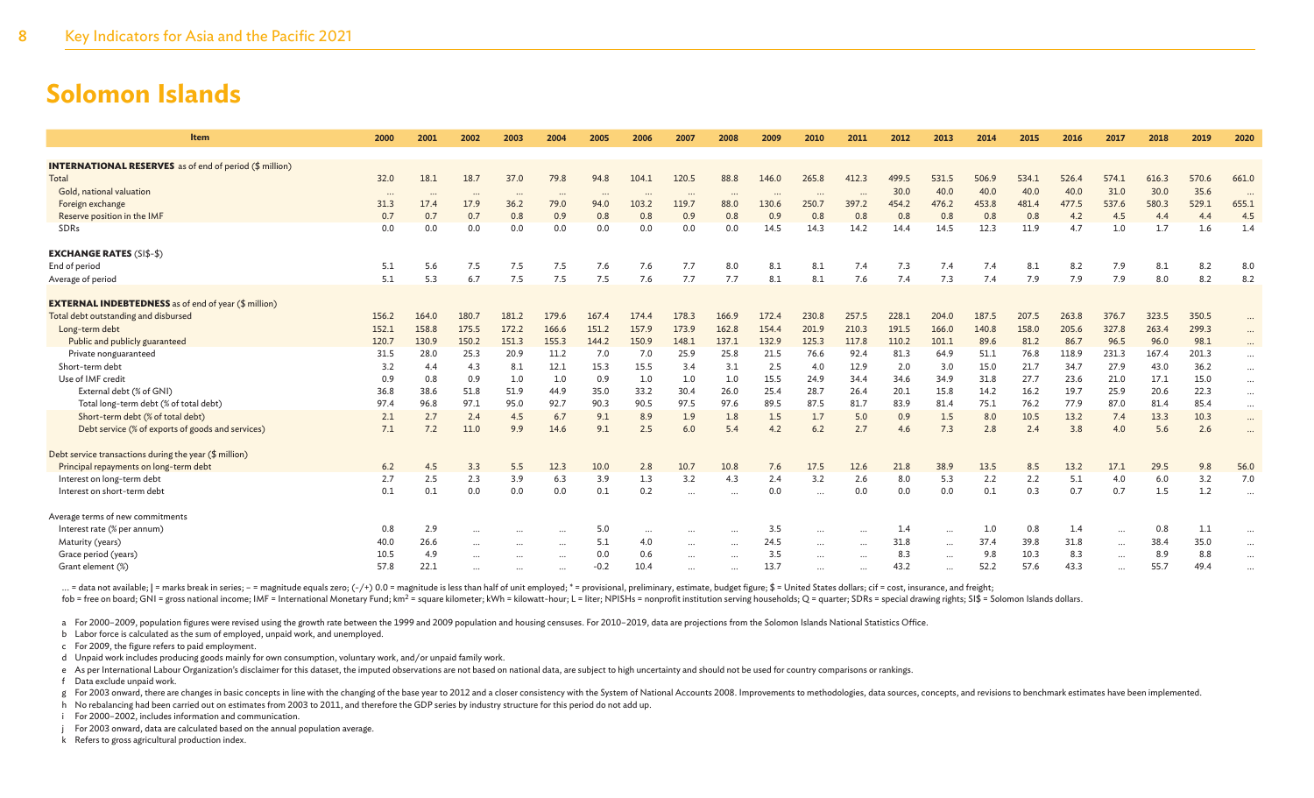| <b>Item</b>                                                    | 2000        | 2001          | 2002          | 2003           | 2004          | 2005        | 2006        | 2007          | 2008           | 2009        | 2010          | 2011          | 2012        | 2013           | 2014          | 2015         | 2016          | 2017          | 2018          | 2019          | 2020     |
|----------------------------------------------------------------|-------------|---------------|---------------|----------------|---------------|-------------|-------------|---------------|----------------|-------------|---------------|---------------|-------------|----------------|---------------|--------------|---------------|---------------|---------------|---------------|----------|
| <b>INTERNATIONAL RESERVES</b> as of end of period (\$ million) |             |               |               |                |               |             |             |               |                |             |               |               |             |                |               |              |               |               |               |               |          |
| Total                                                          | 32.0        | 18.1          | 18.7          | 37.0           | 79.8          | 94.8        | 104.1       | 120.5         | 88.8           | 146.0       | 265.8         | 412.3         | 499.5       | 531.5          | 506.9         | 534.1        | 526.4         | 574.1         | 616.3         | 570.6         | 661.0    |
| Gold, national valuation                                       | $\cdots$    | $\cdots$      | $\cdots$      | $\cdots$       | $\cdots$      | $\cdots$    |             | $\cdots$      | $\cdots$       | $\cdots$    |               |               | 30.0        | 40.0           | 40.0          | 40.0         | 40.0          | 31.0          | 30.0          | 35.6          | $\cdots$ |
| Foreign exchange                                               | 31.3        | 17.4          | 17.9          | 36.2           | 79.0          | 94.0        | 103.2       | 119.7         | 88.0           | 130.6       | 250.7         | 397.2         | 454.2       | 476.2          | 453.8         | 481.4        | 477.5         | 537.6         | 580.3         | 529.1         | 655.1    |
| Reserve position in the IMF                                    | 0.7         | 0.7           | 0.7           | 0.8            | 0.9           | 0.8         | 0.8         | 0.9           | 0.8            | 0.9         | 0.8           | 0.8           | 0.8         | 0.8            | 0.8           | 0.8          | 4.2           | 4.5           | 4.4           | 4.4           | 4.5      |
| SDRs                                                           | 0.0         | 0.0           | 0.0           | 0.0            | 0.0           | 0.0         | 0.0         | 0.0           | 0.0            | 14.5        | 14.3          | 14.2          | 14.4        | 14.5           | 12.3          | 11.9         | 4.7           | 1.0           | 1.7           | 1.6           | 1.4      |
| <b>EXCHANGE RATES (SI\$-\$)</b>                                |             |               |               |                |               |             |             |               |                |             |               |               |             |                |               |              |               |               |               |               |          |
| End of period                                                  | 5.1         | 5.6           | 7.5           | 7.5            | 7.5           | 7.6         | 7.6         | 7.7           | 8.0            | 8.1         | 8.1           | 7.4           | 7.3         | 7.4            | 7.4           | 8.1          | 8.2           | 7.9           | 8.1           | 8.2           | 8.0      |
| Average of period                                              | 5.1         | 5.3           | 6.7           | 7.5            | 7.5           | 7.5         | 7.6         | 7.7           | 7.7            | 8.1         | 8.1           | 7.6           | 7.4         | 7.3            | 7.4           | 7.9          | 7.9           | 7.9           | 8.0           | 8.2           | 8.2      |
|                                                                |             |               |               |                |               |             |             |               |                |             |               |               |             |                |               |              |               |               |               |               |          |
| <b>EXTERNAL INDEBTEDNESS</b> as of end of year (\$ million)    |             |               |               |                |               |             |             |               |                |             |               |               |             |                |               |              |               |               |               |               |          |
| Total debt outstanding and disbursed                           | 156.2       | 164.0         | 180.7         | 181.2<br>172.2 | 179.6         | 167.4       | 174.4       | 178.3         | 166.9          | 172.4       | 230.8         | 257.5         | 228.1       | 204.0          | 187.5         | 207.5        | 263.8         | 376.7         | 323.5         | 350.5         | $\cdots$ |
| Long-term debt                                                 | 152.1       | 158.8         | 175.5         |                | 166.6         | 151.2       | 157.9       | 173.9         | 162.8<br>137.1 | 154.4       | 201.9         | 210.3         | 191.5       | 166.0<br>101.1 | 140.8<br>89.6 | 158.0        | 205.6         | 327.8         | 263.4         | 299.3         | $\cdots$ |
| Public and publicly guaranteed                                 | 120.7       | 130.9<br>28.0 | 150.2<br>25.3 | 151.3<br>20.9  | 155.3<br>11.2 | 144.2       | 150.9       | 148.1<br>25.9 | 25.8           | 132.9       | 125.3<br>76.6 | 117.8<br>92.4 | 110.2       | 64.9           |               | 81.2         | 86.7          | 96.5          | 96.0<br>167.4 | 98.1<br>201.3 | $\cdots$ |
| Private nonguaranteed<br>Short-term debt                       | 31.5<br>3.2 | 4.4           | 4.3           | 8.1            | 12.1          | 7.0<br>15.3 | 7.0<br>15.5 | 3.4           | 3.1            | 21.5<br>2.5 | 4.0           | 12.9          | 81.3<br>2.0 | 3.0            | 51.1<br>15.0  | 76.8<br>21.7 | 118.9<br>34.7 | 231.3<br>27.9 | 43.0          | 36.2          | $\cdots$ |
| Use of IMF credit                                              | 0.9         | 0.8           | 0.9           | 1.0            | 1.0           | 0.9         | 1.0         | 1.0           | 1.0            | 15.5        | 24.9          | 34.4          | 34.6        | 34.9           | 31.8          | 27.7         | 23.6          | 21.0          | 17.1          | 15.0          | $\cdots$ |
| External debt (% of GNI)                                       | 36.8        | 38.6          | 51.8          | 51.9           | 44.9          | 35.0        | 33.2        | 30.4          | 26.0           | 25.4        | 28.7          | 26.4          | 20.1        | 15.8           | 14.2          | 16.2         | 19.7          | 25.9          | 20.6          | 22.3          | $\cdots$ |
| Total long-term debt (% of total debt)                         | 97.4        | 96.8          | 97.1          | 95.0           | 92.7          | 90.3        | 90.5        | 97.5          | 97.6           | 89.5        | 87.5          | 81.7          | 83.9        | 81.4           | 75.1          | 76.2         | 77.9          | 87.0          | 81.4          | 85.4          | $\cdots$ |
| Short-term debt (% of total debt)                              | 2.1         | 2.7           | 2.4           | 4.5            | 6.7           | 9.1         | 8.9         | 1.9           | 1.8            | 1.5         | 1.7           | 5.0           | 0.9         | 1.5            | 8.0           | 10.5         | 13.2          | 7.4           | 13.3          | 10.3          |          |
| Debt service (% of exports of goods and services)              | 7.1         | 7.2           | 11.0          | 9.9            | 14.6          | 9.1         | 2.5         | 6.0           | 5.4            | 4.2         | 6.2           | 2.7           | 4.6         | 7.3            | 2.8           | 2.4          | 3.8           | 4.0           | 5.6           | 2.6           | $\cdots$ |
|                                                                |             |               |               |                |               |             |             |               |                |             |               |               |             |                |               |              |               |               |               |               |          |
| Debt service transactions during the year (\$ million)         |             |               |               |                |               |             |             |               |                |             |               |               |             |                |               |              |               |               |               |               |          |
| Principal repayments on long-term debt                         | 6.2         | 4.5           | 3.3           | 5.5            | 12.3          | 10.0        | 2.8         | 10.7          | 10.8           | 7.6         | 17.5          | 12.6          | 21.8        | 38.9           | 13.5          | 8.5          | 13.2          | 17.1          | 29.5          | 9.8           | 56.0     |
| Interest on long-term debt                                     | 2.7         | 2.5           | 2.3           | 3.9            | 6.3           | 3.9         | 1.3         | 3.2           | 4.3            | 2.4         | 3.2           | 2.6           | 8.0         | 5.3            | 2.2           | 2.2          | 5.1           | 4.0           | 6.0           | 3.2           | 7.0      |
| Interest on short-term debt                                    | 0.1         | 0.1           | 0.0           | 0.0            | 0.0           | 0.1         | 0.2         | $\cdots$      | $\cdots$       | 0.0         | $\cdots$      | 0.0           | 0.0         | 0.0            | 0.1           | 0.3          | 0.7           | 0.7           | 1.5           | 1.2           | $\cdots$ |
| Average terms of new commitments                               |             |               |               |                |               |             |             |               |                |             |               |               |             |                |               |              |               |               |               |               |          |
| Interest rate (% per annum)                                    | 0.8         | 2.9           | $\cdots$      | $\cdots$       | $\cdots$      | 5.0         | $\cdots$    |               |                | 3.5         | $\cdots$      |               | 1.4         | $\cdots$       | 1.0           | 0.8          | 1.4           | $\cdots$      | 0.8           | 1.1           |          |
| Maturity (years)                                               | 40.0        | 26.6          | $\cdots$      | $\cdots$       | $\cdots$      | 5.1         | 4.0         | $\cdots$      | $\cdots$       | 24.5        | $\cdots$      | $\cdots$      | 31.8        | $\cdots$       | 37.4          | 39.8         | 31.8          | $\cdots$      | 38.4          | 35.0          |          |
| Grace period (years)                                           | 10.5        | 4.9           | $\cdots$      |                |               | 0.0         | 0.6         | $\cdots$      | $\cdots$       | 3.5         |               |               | 8.3         | $\cdots$       | 9.8           | 10.3         | 8.3           | $\cdots$      | 8.9           | 8.8           |          |
| Grant element (%)                                              | 57.8        | 22.1          |               |                | $\cdots$      | $-0.2$      | 10.4        |               |                | 13.7        |               |               | 43.2        | $\cdots$       | 52.2          | 57.6         | 43.3          |               | 55.7          | 49.4          |          |
|                                                                |             |               |               |                |               |             |             |               |                |             |               |               |             |                |               |              |               |               |               |               |          |

... = data not available; | = marks break in series; - = magnitude equals zero; (-/+) 0.0 = magnitude is less than half of unit employed; \* = provisional, preliminary, estimate, budget figure; \$ = United States dollars; c fob = free on board; GNI = gross national income; IMF = International Monetary Fund; km<sup>2</sup> = square kilometer; kWh = kilowatt-hour; L = liter; NPISHs = nonprofit institution serving households; Q = quarter; SDRs = special

a For 2000–2009, population figures were revised using the growth rate between the 1999 and 2009 population and housing censuses. For 2010–2019, data are projections from the Solomon Islands National Statistics Office.

b Labor force is calculated as the sum of employed, unpaid work, and unemployed.

c For 2009, the figure refers to paid employment.

d Unpaid work includes producing goods mainly for own consumption, voluntary work, and/or unpaid family work.

e As per International Labour Organization's disclaimer for this dataset, the imputed observations are not based on national data, are subject to high uncertainty and should not be used for country comparisons or rankings.

f Data exclude unpaid work.

g For 2003 onward, there are changes in basic concepts in line with the changing of the base year to 2012 and a closer consistency with the System of National Accounts 2008. Improvements to methodologies, data sources, con

h No rebalancing had been carried out on estimates from 2003 to 2011, and therefore the GDP series by industry structure for this period do not add up.

i For 2000–2002, includes information and communication.

j For 2003 onward, data are calculated based on the annual population average.

k Refers to gross agricultural production index.